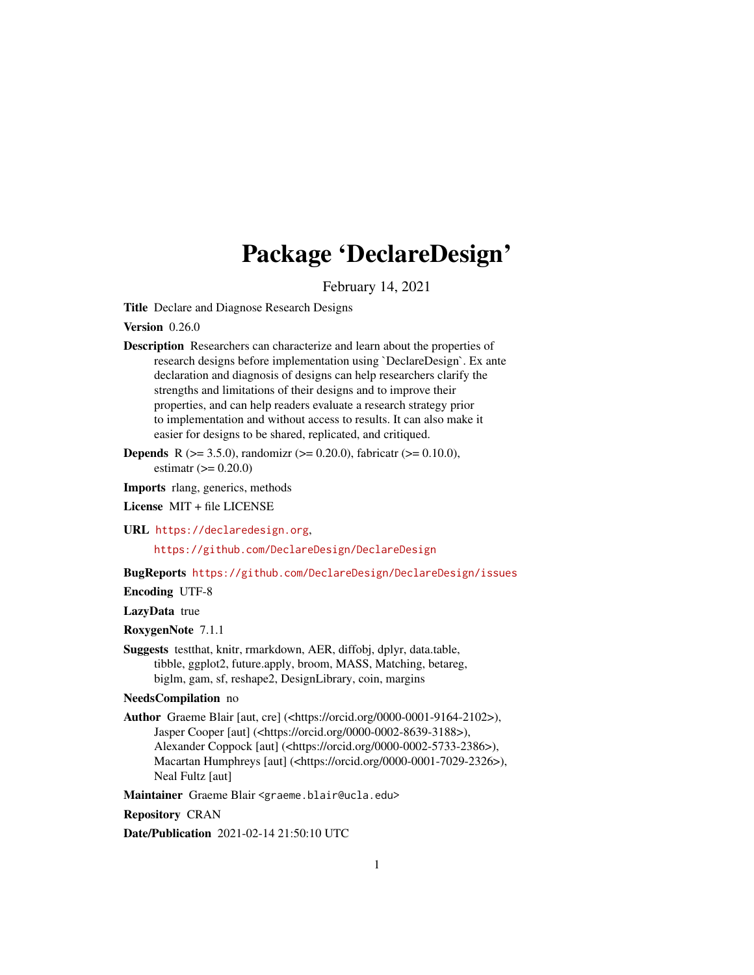# Package 'DeclareDesign'

February 14, 2021

<span id="page-0-0"></span>Title Declare and Diagnose Research Designs

Version 0.26.0

- Description Researchers can characterize and learn about the properties of research designs before implementation using `DeclareDesign`. Ex ante declaration and diagnosis of designs can help researchers clarify the strengths and limitations of their designs and to improve their properties, and can help readers evaluate a research strategy prior to implementation and without access to results. It can also make it easier for designs to be shared, replicated, and critiqued.
- **Depends** R ( $>= 3.5.0$ ), randomizr ( $>= 0.20.0$ ), fabricatr ( $>= 0.10.0$ ), estimatr  $(>= 0.20.0)$

Imports rlang, generics, methods

License MIT + file LICENSE

URL <https://declaredesign.org>,

<https://github.com/DeclareDesign/DeclareDesign>

BugReports <https://github.com/DeclareDesign/DeclareDesign/issues>

Encoding UTF-8

LazyData true

RoxygenNote 7.1.1

Suggests testthat, knitr, rmarkdown, AER, diffobj, dplyr, data.table, tibble, ggplot2, future.apply, broom, MASS, Matching, betareg, biglm, gam, sf, reshape2, DesignLibrary, coin, margins

NeedsCompilation no

Author Graeme Blair [aut, cre] (<https://orcid.org/0000-0001-9164-2102>), Jasper Cooper [aut] (<https://orcid.org/0000-0002-8639-3188>), Alexander Coppock [aut] (<https://orcid.org/0000-0002-5733-2386>), Macartan Humphreys [aut] (<https://orcid.org/0000-0001-7029-2326>), Neal Fultz [aut]

Maintainer Graeme Blair <graeme.blair@ucla.edu>

Repository CRAN

Date/Publication 2021-02-14 21:50:10 UTC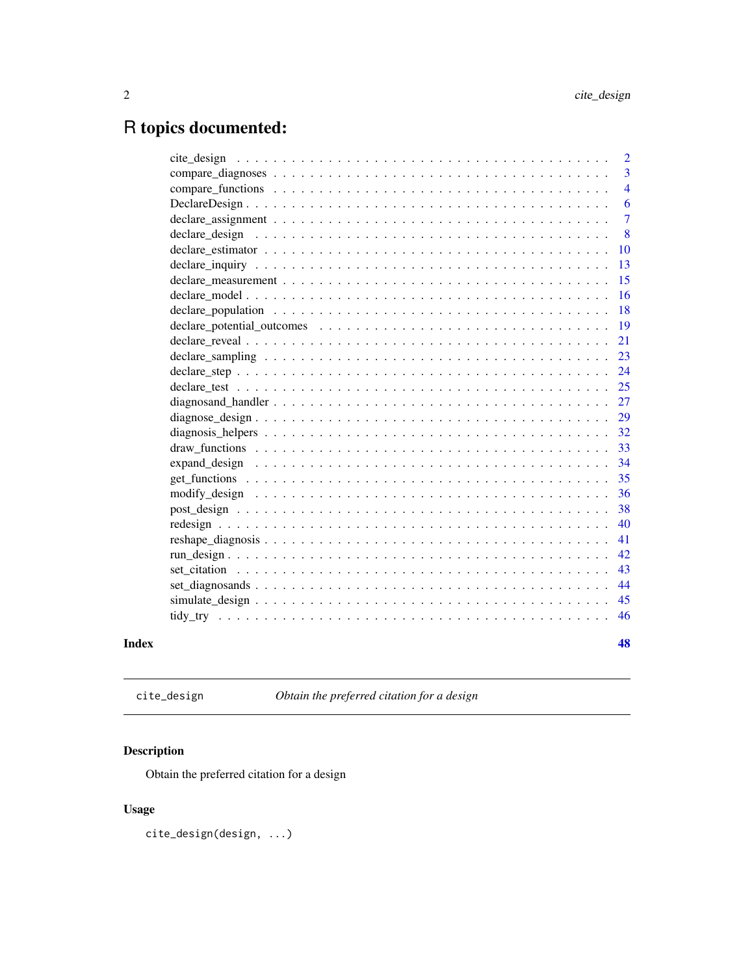# <span id="page-1-0"></span>R topics documented:

| Index |                                                                                                                 | 48             |
|-------|-----------------------------------------------------------------------------------------------------------------|----------------|
|       |                                                                                                                 | 46             |
|       |                                                                                                                 | 45             |
|       |                                                                                                                 | 44             |
|       |                                                                                                                 | 43             |
|       |                                                                                                                 | 42             |
|       |                                                                                                                 | 41             |
|       |                                                                                                                 | 40             |
|       |                                                                                                                 | 38             |
|       |                                                                                                                 | 36             |
|       |                                                                                                                 | 35             |
|       |                                                                                                                 | 34             |
|       |                                                                                                                 | 33             |
|       |                                                                                                                 | 32             |
|       |                                                                                                                 | 29             |
|       |                                                                                                                 | 27             |
|       |                                                                                                                 | 25             |
|       |                                                                                                                 | 24             |
|       |                                                                                                                 | 23             |
|       |                                                                                                                 | 21             |
|       |                                                                                                                 | 19             |
|       | declare population $\ldots \ldots \ldots \ldots \ldots \ldots \ldots \ldots \ldots \ldots \ldots \ldots \ldots$ | 18             |
|       |                                                                                                                 | 16             |
|       |                                                                                                                 | 15             |
|       |                                                                                                                 | 10<br>13       |
|       |                                                                                                                 | 8              |
|       |                                                                                                                 | $\tau$         |
|       |                                                                                                                 | 6              |
|       |                                                                                                                 | $\overline{4}$ |
|       |                                                                                                                 | 3              |
|       |                                                                                                                 | $\overline{2}$ |

<span id="page-1-1"></span>cite\_design *Obtain the preferred citation for a design*

# Description

Obtain the preferred citation for a design

# Usage

cite\_design(design, ...)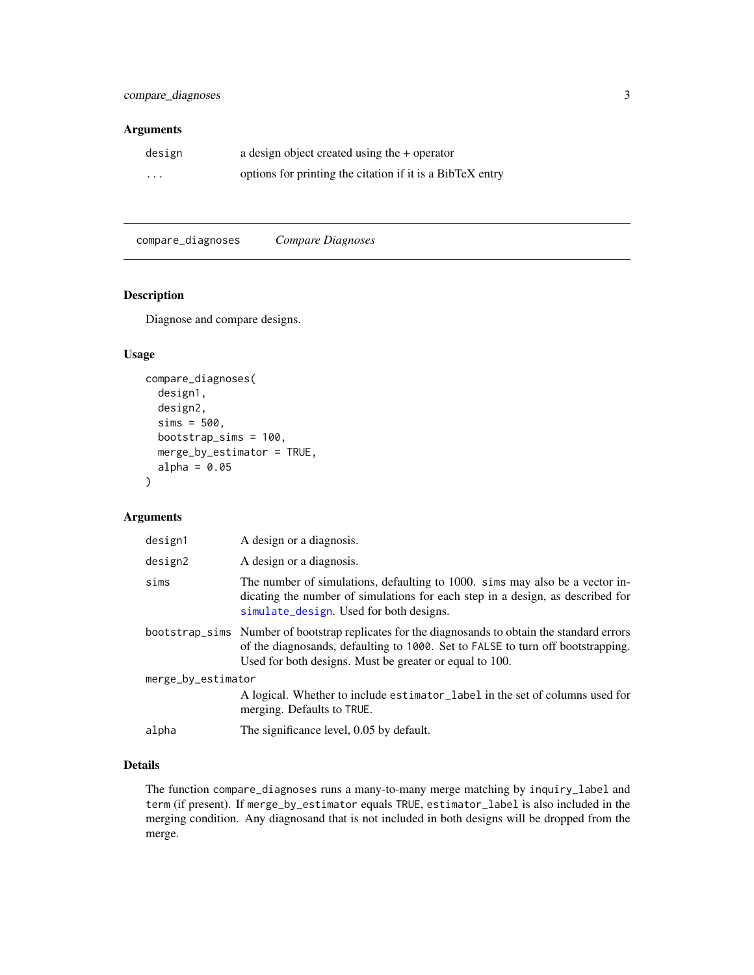# <span id="page-2-0"></span>Arguments

| design   | a design object created using the + operator              |
|----------|-----------------------------------------------------------|
| $\cdots$ | options for printing the citation if it is a BibTeX entry |

compare\_diagnoses *Compare Diagnoses*

# Description

Diagnose and compare designs.

# Usage

```
compare_diagnoses(
  design1,
  design2,
  sims = 500,
 bootstrap_sims = 100,
 merge_by_estimator = TRUE,
  alpha = 0.05)
```
# Arguments

| design1            | A design or a diagnosis.                                                                                                                                                                                                                      |
|--------------------|-----------------------------------------------------------------------------------------------------------------------------------------------------------------------------------------------------------------------------------------------|
| design2            | A design or a diagnosis.                                                                                                                                                                                                                      |
| sims               | The number of simulations, defaulting to 1000. sims may also be a vector in-<br>dicating the number of simulations for each step in a design, as described for<br>simulate_design. Used for both designs.                                     |
|                    | bootstrap_sims Number of bootstrap replicates for the diagnosands to obtain the standard errors<br>of the diagnosands, defaulting to 1000. Set to FALSE to turn off bootstrapping.<br>Used for both designs. Must be greater or equal to 100. |
| merge_by_estimator |                                                                                                                                                                                                                                               |
|                    | A logical. Whether to include estimator_label in the set of columns used for<br>merging. Defaults to TRUE.                                                                                                                                    |
| alpha              | The significance level, 0.05 by default.                                                                                                                                                                                                      |
|                    |                                                                                                                                                                                                                                               |

# Details

The function compare\_diagnoses runs a many-to-many merge matching by inquiry\_label and term (if present). If merge\_by\_estimator equals TRUE, estimator\_label is also included in the merging condition. Any diagnosand that is not included in both designs will be dropped from the merge.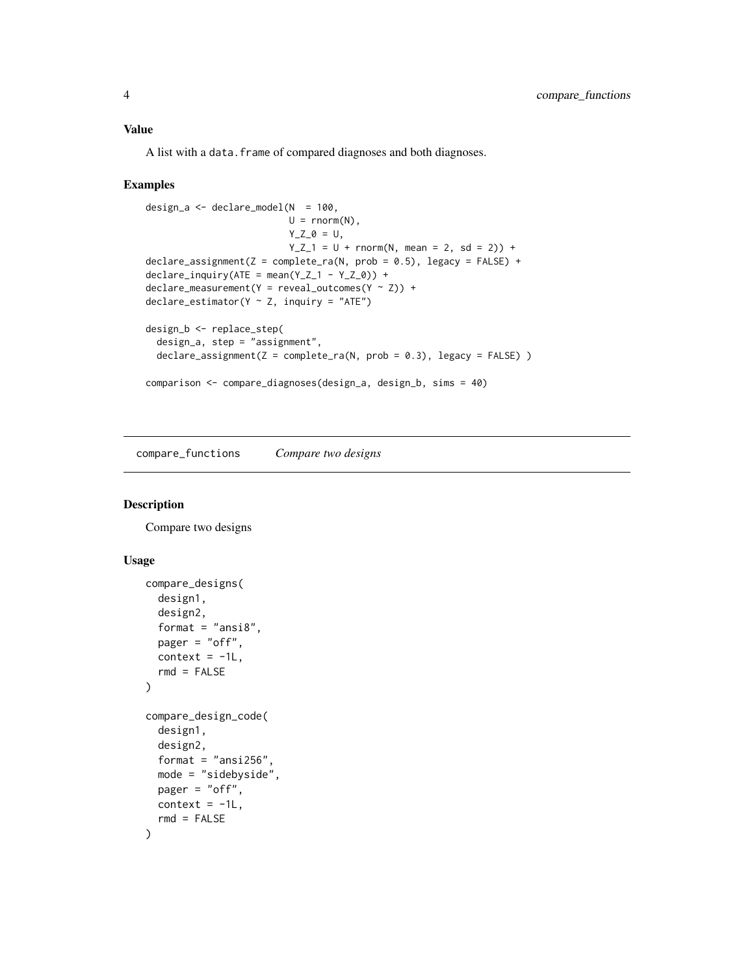#### <span id="page-3-0"></span>Value

A list with a data.frame of compared diagnoses and both diagnoses.

#### Examples

```
design_a \leq declare_model(N = 100,
                            U = rnorm(N),
                            Y_Z_0 = U,
                            Y_Z_1 = U + \text{norm}(N, \text{ mean } = 2, \text{ sd } = 2) +declace_assignment(Z = complete_ra(N, prob = 0.5), legacy = FALSE) +
declarge\_inquiry(ATE = mean(Y_Z_1 - Y_Z_0)) +declarge_measurement(Y = reveal_outcomes(Y ~ Z)) +
declare_estimator(Y \sim Z, inquiry = "ATE")design_b <- replace_step(
  design_a, step = "assignment",
  \text{dec}lare_assignment(Z = complete_ra(N, prob = 0.3), legacy = FALSE) )
comparison <- compare_diagnoses(design_a, design_b, sims = 40)
```
compare\_functions *Compare two designs*

# Description

Compare two designs

#### Usage

```
compare_designs(
 design1,
  design2,
  format = "ansi8",pager = "off",
 context = -1L,
 rmd = FALSE\mathcal{L}compare_design_code(
 design1,
 design2,
  format = "ansi256".
 mode = "sidebyside",
 pager = "off",
 context = -1L,
  rmd = FALSE
)
```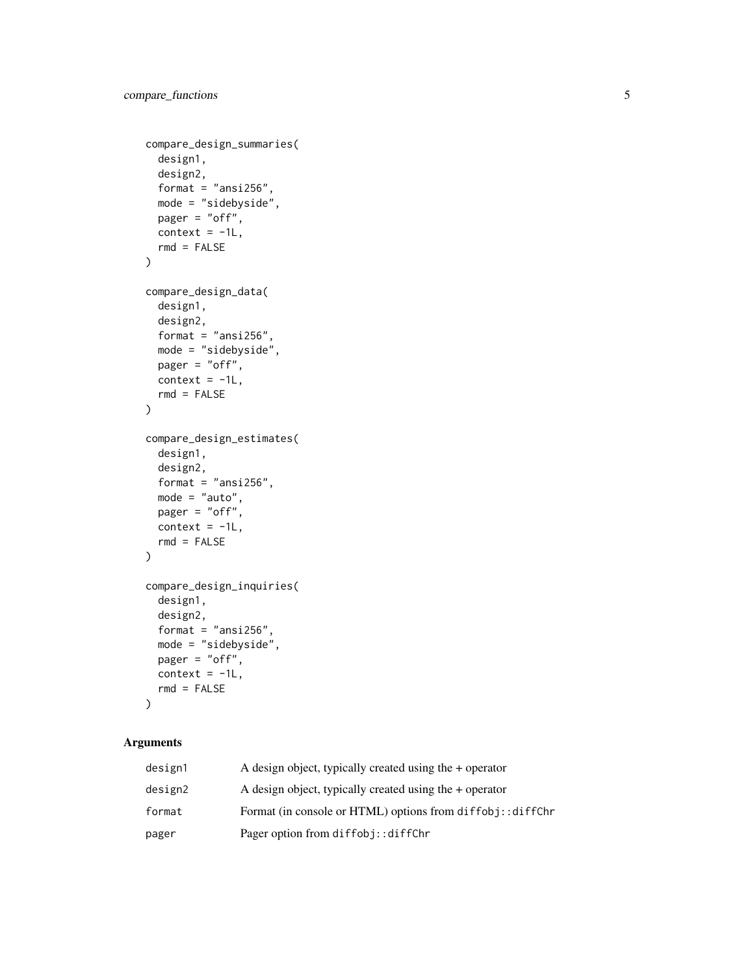```
compare_design_summaries(
  design1,
 design2,
  format = "ansi256",mode = "sidebyside",
 pager = "off",
 context = -1L,
  rmd = FALSE
\mathcal{L}compare_design_data(
  design1,
 design2,
 format = "ansi256",
 mode = "sidebyside",
 pager = "off",
 context = -1L,
 rmd = FALSE\lambdacompare_design_estimates(
  design1,
  design2,
  format = "ansi256",mode = "auto",pager = "off",
  context = -1L,
 rmd = FALSE)
compare_design_inquiries(
  design1,
  design2,
  format = "ansi256",mode = "sidebyside",
 pager = "off",
 context = -1L,
  rmd = FALSE)
```
# Arguments

| design1 | A design object, typically created using the $+$ operator |
|---------|-----------------------------------------------------------|
| design2 | A design object, typically created using the $+$ operator |
| format  | Format (in console or HTML) options from diffobj::diffChr |
| pager   | Pager option from diffobj::diffChr                        |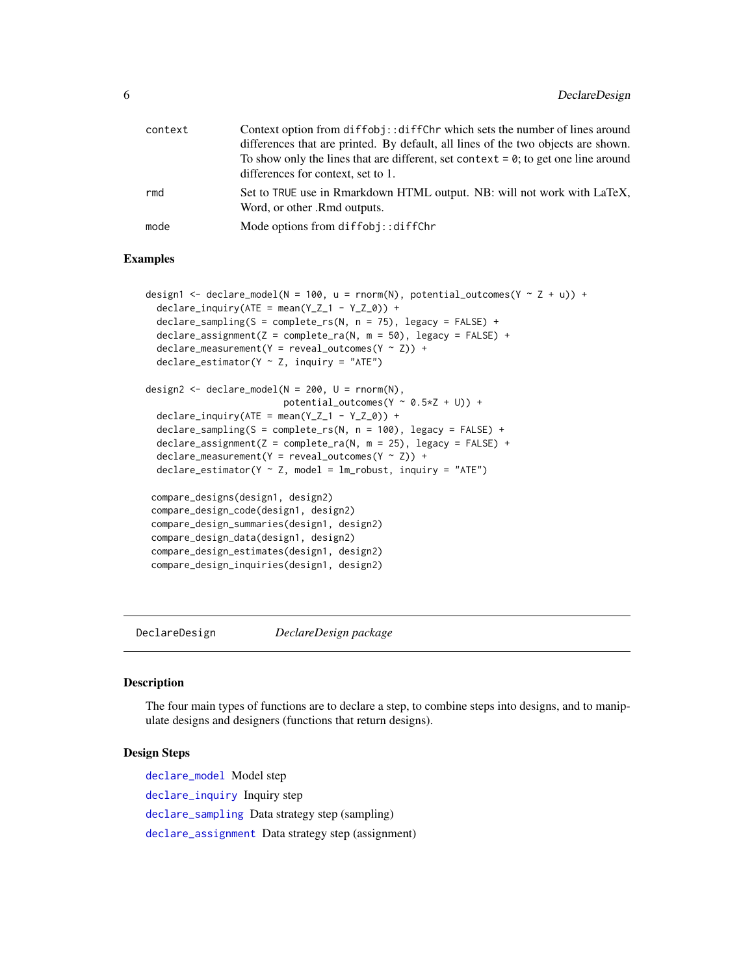<span id="page-5-0"></span>

| context | Context option from diffobj:: diffChr which sets the number of lines around                             |
|---------|---------------------------------------------------------------------------------------------------------|
|         | differences that are printed. By default, all lines of the two objects are shown.                       |
|         | To show only the lines that are different, set context $= 0$ ; to get one line around                   |
|         | differences for context, set to 1.                                                                      |
| rmd     | Set to TRUE use in Rmarkdown HTML output. NB: will not work with LaTeX,<br>Word, or other .Rmd outputs. |
| mode    | Mode options from diffobj::diffChr                                                                      |

#### Examples

```
design1 <- declare_model(N = 100, u = rnorm(N), potential_outcomes(Y \sim Z + u)) +
 declare_inquiry(ATE = mean(Y_Z_1 - Y_Z_0)) +\text{dec} ampling(S = complete_rs(N, n = 75), legacy = FALSE) +
 \text{dec}lare_assignment(Z = complete_ra(N, m = 50), legacy = FALSE) +
 \text{declarge\_measurement}(Y = \text{reveal\_outcomes}(Y \sim Z)) +
 declare_estimator(Y ~ Z, inquiry = "ATE")
design2 <- declare_model(N = 200, U = rnorm(N),
                          potential_outcomes(Y \sim 0.5 \times Z + U) +
 declare_inquiry(ATE = mean(Y_Z_1 - Y_Z_0)) +declare_sampling(S = complete_rs(N, n = 100), legacy = FALSE) +
 \text{dec}lare_assignment(Z = complete_ra(N, m = 25), legacy = FALSE) +
 \text{dec}lare_measurement(Y = reveal_outcomes(Y ~ Z)) +
 \text{dec}lare_estimator(Y ~ Z, model = lm_robust, inquiry = "ATE")
 compare_designs(design1, design2)
 compare_design_code(design1, design2)
 compare_design_summaries(design1, design2)
 compare_design_data(design1, design2)
 compare_design_estimates(design1, design2)
 compare_design_inquiries(design1, design2)
```
DeclareDesign *DeclareDesign package*

# **Description**

The four main types of functions are to declare a step, to combine steps into designs, and to manipulate designs and designers (functions that return designs).

#### Design Steps

[declare\\_model](#page-15-1) Model step [declare\\_inquiry](#page-12-1) Inquiry step [declare\\_sampling](#page-22-1) Data strategy step (sampling) [declare\\_assignment](#page-6-1) Data strategy step (assignment)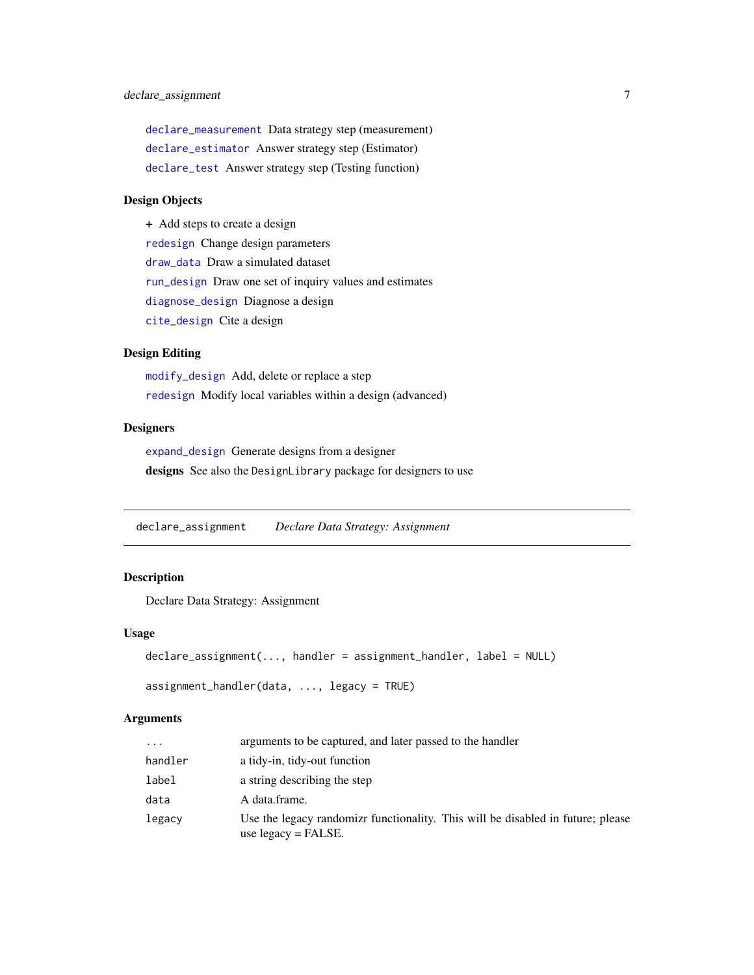# <span id="page-6-0"></span>declare\_assignment 7

[declare\\_measurement](#page-14-1) Data strategy step (measurement) [declare\\_estimator](#page-9-1) Answer strategy step (Estimator) [declare\\_test](#page-24-1) Answer strategy step (Testing function)

#### Design Objects

+ Add steps to create a design

[redesign](#page-39-1) Change design parameters [draw\\_data](#page-32-1) Draw a simulated dataset [run\\_design](#page-41-1) Draw one set of inquiry values and estimates [diagnose\\_design](#page-28-1) Diagnose a design [cite\\_design](#page-1-1) Cite a design

# Design Editing

[modify\\_design](#page-35-1) Add, delete or replace a step [redesign](#page-39-1) Modify local variables within a design (advanced)

# **Designers**

[expand\\_design](#page-33-1) Generate designs from a designer designs See also the DesignLibrary package for designers to use

<span id="page-6-1"></span>declare\_assignment *Declare Data Strategy: Assignment*

#### Description

Declare Data Strategy: Assignment

#### Usage

```
declare_assignment(..., handler = assignment_handler, label = NULL)
```
assignment\_handler(data, ..., legacy = TRUE)

#### Arguments

| $\cdots$ | arguments to be captured, and later passed to the handler                                                 |
|----------|-----------------------------------------------------------------------------------------------------------|
| handler  | a tidy-in, tidy-out function                                                                              |
| label    | a string describing the step                                                                              |
| data     | A data.frame.                                                                                             |
| legacy   | Use the legacy randomizr functionality. This will be disabled in future; please<br>use $legacy = FALSE$ . |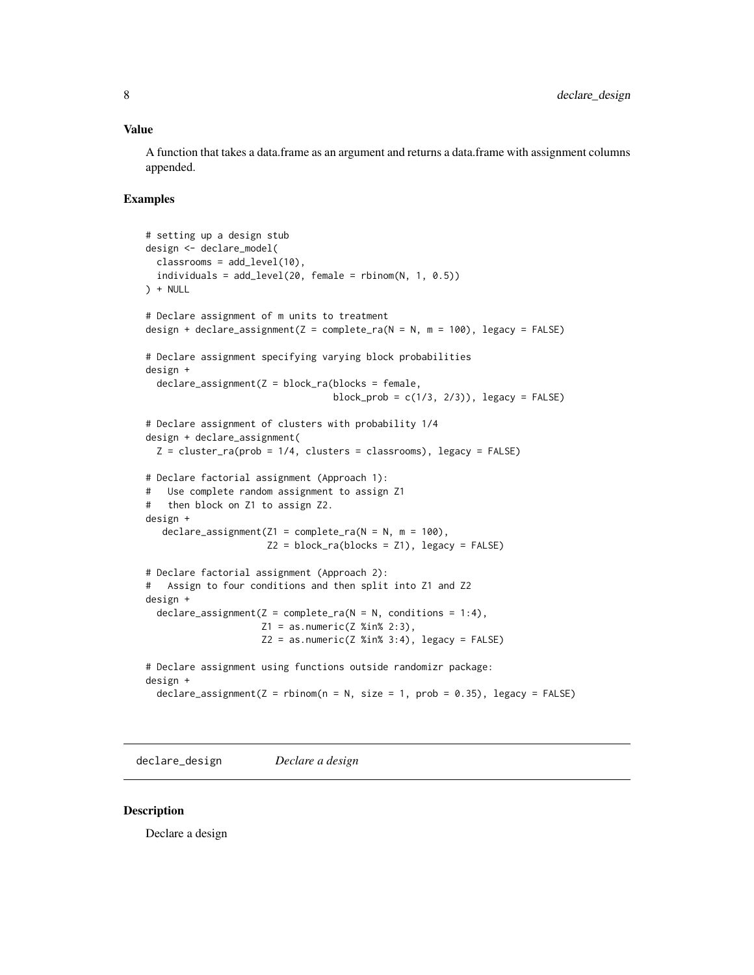#### <span id="page-7-0"></span>Value

A function that takes a data.frame as an argument and returns a data.frame with assignment columns appended.

#### Examples

```
# setting up a design stub
design <- declare_model(
  classrooms = add_level(10),
  individuals = add\_level(20, female = rbinom(N, 1, 0.5))) + NULL# Declare assignment of m units to treatment
design + declare_assignment(Z = complete-ra(N = N, m = 100), legacy = FALSE)
# Declare assignment specifying varying block probabilities
design +
  \text{dec}lare_assignment(Z = block_ra(blocks = female,
                                  block_prob = c(1/3, 2/3), legacy = FALSE)
# Declare assignment of clusters with probability 1/4
design + declare_assignment(
  Z = cluster-ra(prob = 1/4, clusters = classrooms), legacy = FALSE)# Declare factorial assignment (Approach 1):
# Use complete random assignment to assign Z1
# then block on Z1 to assign Z2.
design +
   declare_assignment(Z1 = \text{complete}_ra(N = N, m = 100),
                      Z2 = block-ra(blocks = Z1), legacy = FALSE)
# Declare factorial assignment (Approach 2):
# Assign to four conditions and then split into Z1 and Z2
design +
  \text{dec}lare_assignment(Z = complete_ra(N = N, conditions = 1:4),
                     Z1 = as.numeric(Z %in % 2:3),Z2 = as.numeric(Z XinX 3:4), legacy = FALSE)# Declare assignment using functions outside randomizr package:
design +
  \text{dec}lare_assignment(Z = rbinom(n = N, size = 1, prob = 0.35), legacy = FALSE)
```
declare\_design *Declare a design*

#### Description

Declare a design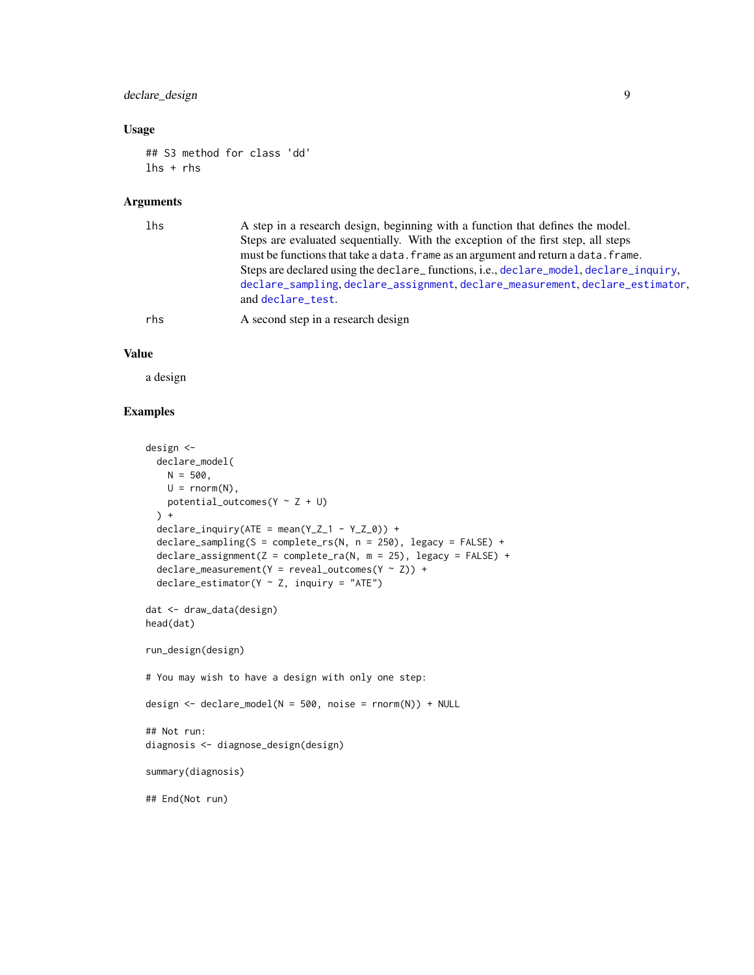# <span id="page-8-0"></span>declare\_design 9

# Usage

```
## S3 method for class 'dd'
lhs + rhs
```
# Arguments

| lhs | A step in a research design, beginning with a function that defines the model.<br>Steps are evaluated sequentially. With the exception of the first step, all steps<br>must be functions that take a data. frame as an argument and return a data. frame.<br>Steps are declared using the declare_functions, i.e., declare_model, declare_inquiry,<br>declare_sampling, declare_assignment, declare_measurement, declare_estimator,<br>and declare_test. |
|-----|----------------------------------------------------------------------------------------------------------------------------------------------------------------------------------------------------------------------------------------------------------------------------------------------------------------------------------------------------------------------------------------------------------------------------------------------------------|
| rhs | A second step in a research design                                                                                                                                                                                                                                                                                                                                                                                                                       |

# Value

a design

```
design <-
  declare_model(
    N = 500,U = rnorm(N),potential_outcomes(Y \sim Z + U)
  ) +
  \text{dec}lare_inquiry(ATE = mean(Y_Z_1 - Y_Z_0)) +
  declare_sampling(S = complete_rs(N, n = 250), legacy = FALSE) +
  \text{dec}lare_assignment(Z = complete_ra(N, m = 25), legacy = FALSE) +
  \text{declane\_measurement}(Y = \text{reveal\_outcomes}(Y \sim Z)) +
  \text{declace}\_\text{estimator}(Y \sim Z, \text{ inquiry} = "ATE")dat <- draw_data(design)
head(dat)
run_design(design)
# You may wish to have a design with only one step:
design <- declare_model(N = 500, noise = rnorm(N)) + NULL
## Not run:
diagnosis <- diagnose_design(design)
summary(diagnosis)
## End(Not run)
```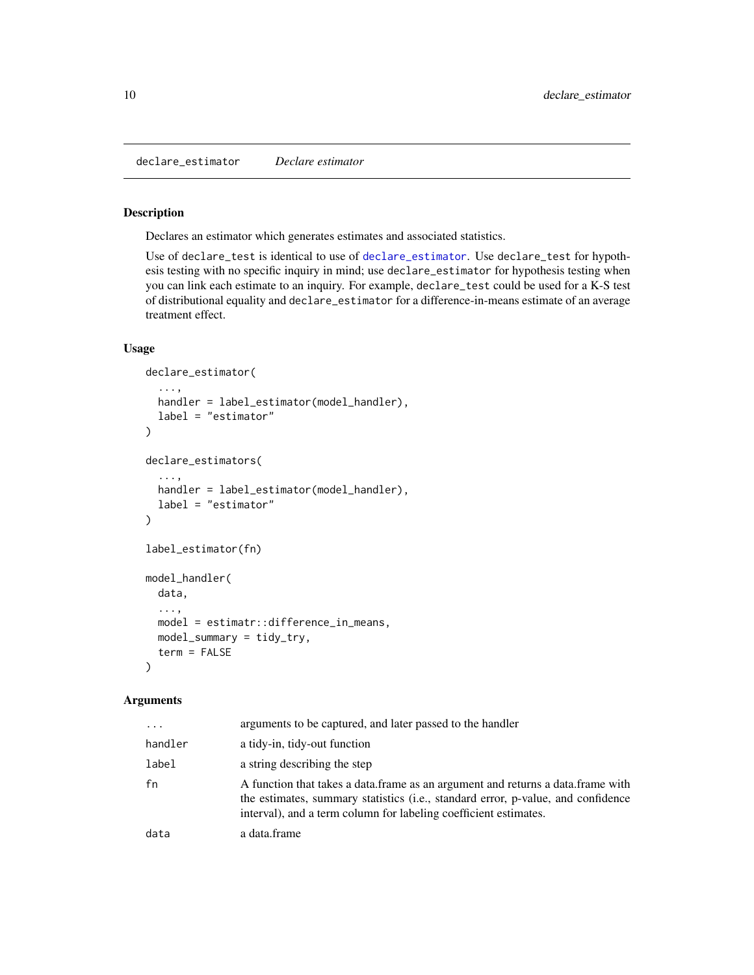<span id="page-9-1"></span><span id="page-9-0"></span>declare\_estimator *Declare estimator*

#### Description

Declares an estimator which generates estimates and associated statistics.

Use of declare\_test is identical to use of [declare\\_estimator](#page-9-1). Use declare\_test for hypothesis testing with no specific inquiry in mind; use declare\_estimator for hypothesis testing when you can link each estimate to an inquiry. For example, declare\_test could be used for a K-S test of distributional equality and declare\_estimator for a difference-in-means estimate of an average treatment effect.

# Usage

```
declare_estimator(
  ...,
 handler = label_estimator(model_handler),
  label = "estimator"
\mathcal{L}declare_estimators(
  ...,
 handler = label_estimator(model_handler),
 label = "estimator"
)
label_estimator(fn)
model_handler(
 data,
  ...,
 model = estimatr::difference_in_means,
 model_summary = tidy_try,
  term = FALSE
\lambda
```
#### Arguments

| $\ddots$ | arguments to be captured, and later passed to the handler                                                                                                                                                                               |
|----------|-----------------------------------------------------------------------------------------------------------------------------------------------------------------------------------------------------------------------------------------|
| handler  | a tidy-in, tidy-out function                                                                                                                                                                                                            |
| label    | a string describing the step                                                                                                                                                                                                            |
| fn       | A function that takes a data frame as an argument and returns a data frame with<br>the estimates, summary statistics (i.e., standard error, p-value, and confidence<br>interval), and a term column for labeling coefficient estimates. |
| data     | a data.frame                                                                                                                                                                                                                            |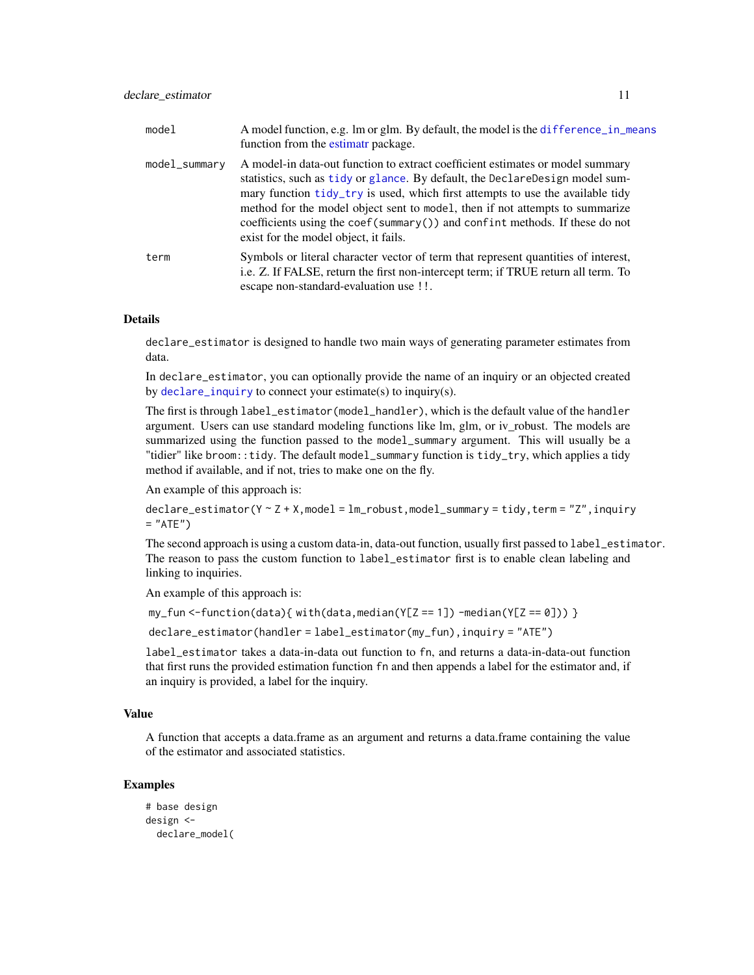<span id="page-10-0"></span>

| model         | A model function, e.g. 1m or glm. By default, the model is the difference in means<br>function from the estimatr package.                                                                                                                                                                                                                                                                                                                                    |
|---------------|--------------------------------------------------------------------------------------------------------------------------------------------------------------------------------------------------------------------------------------------------------------------------------------------------------------------------------------------------------------------------------------------------------------------------------------------------------------|
| model_summary | A model-in data-out function to extract coefficient estimates or model summary<br>statistics, such as tidy or glance. By default, the DeclareDesign model sum-<br>mary function tidy_try is used, which first attempts to use the available tidy<br>method for the model object sent to model, then if not attempts to summarize<br>coefficients using the coef( $summary()$ ) and confint methods. If these do not<br>exist for the model object, it fails. |
| term          | Symbols or literal character vector of term that represent quantities of interest,<br>i.e. Z. If FALSE, return the first non-intercept term; if TRUE return all term. To<br>escape non-standard-evaluation use !!.                                                                                                                                                                                                                                           |

# Details

declare\_estimator is designed to handle two main ways of generating parameter estimates from data.

In declare\_estimator, you can optionally provide the name of an inquiry or an objected created by [declare\\_inquiry](#page-12-1) to connect your estimate(s) to inquiry(s).

The first is through label\_estimator(model\_handler), which is the default value of the handler argument. Users can use standard modeling functions like lm, glm, or iv\_robust. The models are summarized using the function passed to the model\_summary argument. This will usually be a "tidier" like broom::tidy. The default model\_summary function is tidy\_try, which applies a tidy method if available, and if not, tries to make one on the fly.

An example of this approach is:

 $\text{dec}$ lare\_estimator(Y ~ Z + X, model = lm\_robust, model\_summary = tidy, term = "Z", inquiry  $=$  "ATE")

The second approach is using a custom data-in, data-out function, usually first passed to label\_estimator. The reason to pass the custom function to label\_estimator first is to enable clean labeling and linking to inquiries.

An example of this approach is:

 $my_fun < -function(data)$ { with(data, median(Y[Z == 1]) -median(Y[Z == 0])) }

declare\_estimator(handler = label\_estimator(my\_fun),inquiry = "ATE")

label\_estimator takes a data-in-data out function to fn, and returns a data-in-data-out function that first runs the provided estimation function fn and then appends a label for the estimator and, if an inquiry is provided, a label for the inquiry.

#### Value

A function that accepts a data.frame as an argument and returns a data.frame containing the value of the estimator and associated statistics.

```
# base design
design <-
 declare_model(
```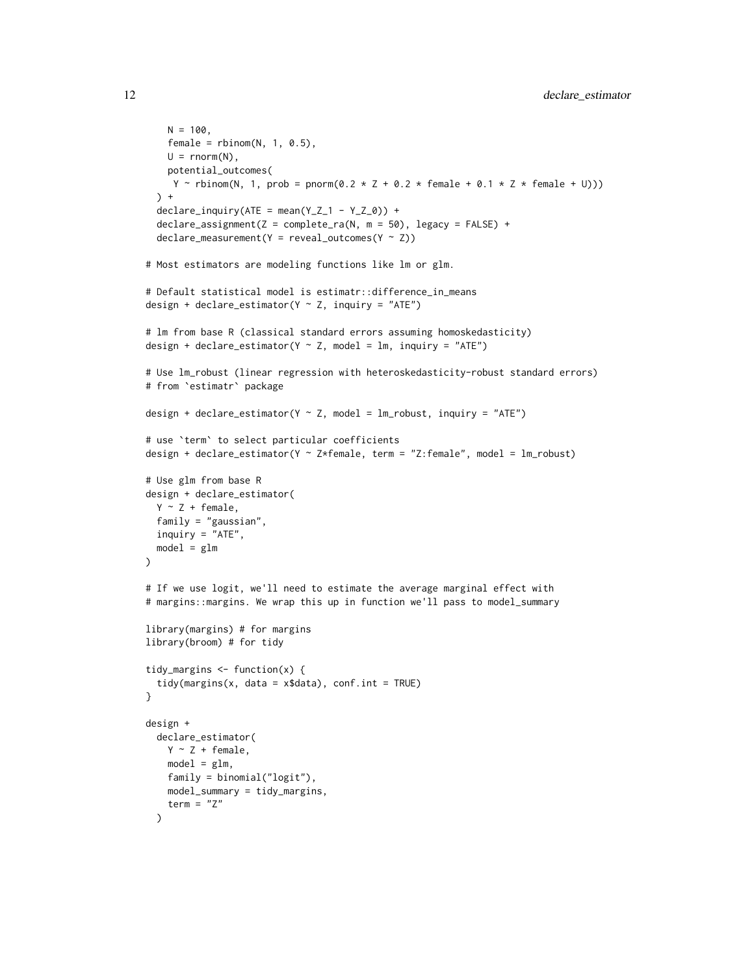```
N = 100,
    female = rbinom(N, 1, 0.5),
   U = rnorm(N),potential_outcomes(
    Y ~ rbinom(N, 1, prob = pnorm(0.2 * Z + 0.2 * female + 0.1 * Z * female + U)))
 ) +
 declarge\_inquiry(ATE = mean(Y_Z_1 - Y_Z_0)) +\text{dec}lare_assignment(Z = complete_ra(N, m = 50), legacy = FALSE) +
 \text{dec}lare_measurement(Y = reveal_outcomes(Y ~ Z))
# Most estimators are modeling functions like lm or glm.
# Default statistical model is estimatr::difference_in_means
design + declare_estimator(Y \sim Z, inquiry = "ATE")
# lm from base R (classical standard errors assuming homoskedasticity)
design + declare_estimator(Y \sim Z, model = lm, inquiry = "ATE")
# Use lm_robust (linear regression with heteroskedasticity-robust standard errors)
# from `estimatr` package
design + declare_estimator(Y \sim Z, model = lm_robust, inquiry = "ATE")
# use `term` to select particular coefficients
design + declare_estimator(Y ~ Z*female, term = "Z:female", model = lm_robust)
# Use glm from base R
design + declare_estimator(
 Y \sim Z + \text{female},
 family = "gaussian",
 inquiry = "ATE",
 model = g1m\lambda# If we use logit, we'll need to estimate the average marginal effect with
# margins::margins. We wrap this up in function we'll pass to model_summary
library(margins) # for margins
library(broom) # for tidy
tidy_margins \leq function(x) {
 tidy(margins(x, data = x$data), conf.int = TRUE)
}
design +
 declare_estimator(
   Y \sim Z + \text{female},
   model = glm,
   family = binomial("logit"),
   model_summary = tidy_margins,
   term = "Z"
 )
```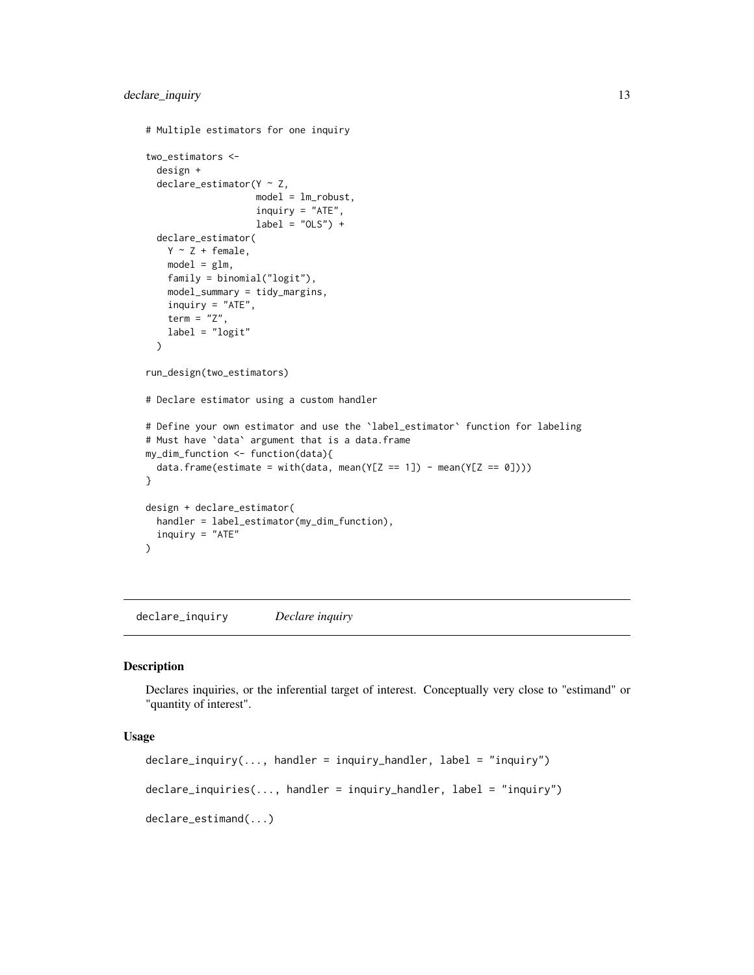```
# Multiple estimators for one inquiry
two_estimators <-
  design +
  declace_estimator(Y \sim Z,model = lm_robust,
                     inquiry = "ATE",
                    label = "OLS") +
  declare_estimator(
    Y \sim Z + \text{female},model = glm,family = binomial("logit"),
    model_summary = tidy_margins,
    inquiry = "ATE",
    term = "Z",
    label = "logit"
  )
run_design(two_estimators)
# Declare estimator using a custom handler
# Define your own estimator and use the `label_estimator` function for labeling
# Must have `data` argument that is a data.frame
my_dim_function <- function(data){
  data.frame(estimate = with(data, mean(Y[Z == 1]) - mean(Y[Z == 0])))
}
design + declare_estimator(
 handler = label_estimator(my_dim_function),
  inquiry = "ATE"
\mathcal{L}
```
<span id="page-12-1"></span>declare\_inquiry *Declare inquiry*

#### Description

Declares inquiries, or the inferential target of interest. Conceptually very close to "estimand" or "quantity of interest".

## Usage

```
declarge_{i}inquiry(..., handler = inquiry_handler, label = "inquiry")
declarge\_inquires(..., handler = inquiry\_handler, label = "inquiring")declare_estimand(...)
```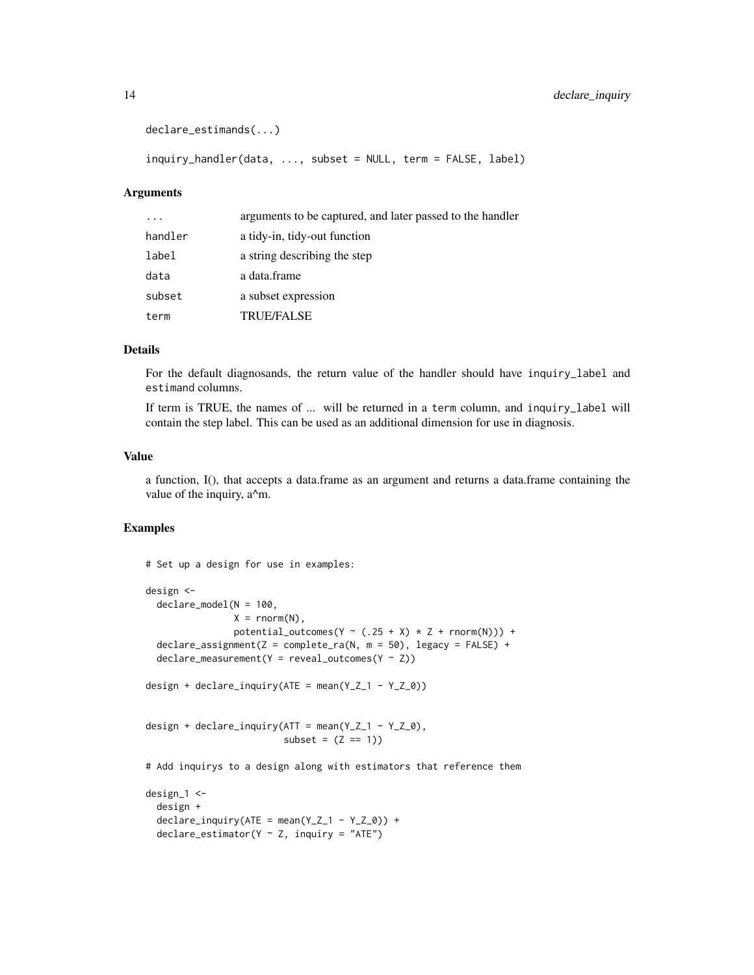```
declare_estimands(...)
```
inquiry\_handler(data, ..., subset = NULL, term = FALSE, label)

#### Arguments

| $\cdot$ $\cdot$ $\cdot$ | arguments to be captured, and later passed to the handler |
|-------------------------|-----------------------------------------------------------|
| handler                 | a tidy-in, tidy-out function                              |
| label                   | a string describing the step                              |
| data                    | a data.frame                                              |
| subset                  | a subset expression                                       |
| term                    | <b>TRUE/FALSE</b>                                         |

# Details

For the default diagnosands, the return value of the handler should have inquiry\_label and estimand columns.

If term is TRUE, the names of ... will be returned in a term column, and inquiry\_label will contain the step label. This can be used as an additional dimension for use in diagnosis.

#### Value

a function, I(), that accepts a data.frame as an argument and returns a data.frame containing the value of the inquiry, a^m.

```
# Set up a design for use in examples:
design <-
 declare_model(N = 100,
                X = rnorm(N),
                 potential_outcomes(Y \sim (.25 + X) * Z + \text{rnorm}(N)) +
 declare_assignment(Z = \text{complete\_ra(N, m = 50)}, legacy = FALSE) +
 \text{dec}lare_measurement(Y = reveal_outcomes(Y ~ Z))
design + declare_inquiry(ATE = mean(Y_2_1 - Y_2_0))
design + declare_inquiry(ATT = mean(Y_Z_1 - Y_Z_0),
                          subset = (Z == 1))# Add inquirys to a design along with estimators that reference them
design_1 <-
 design +
 \text{dec}lare_inquiry(ATE = mean(Y_Z_1 - Y_Z_0)) +
 declace_estimator(Y \sim Z, inquiring = "ATE")
```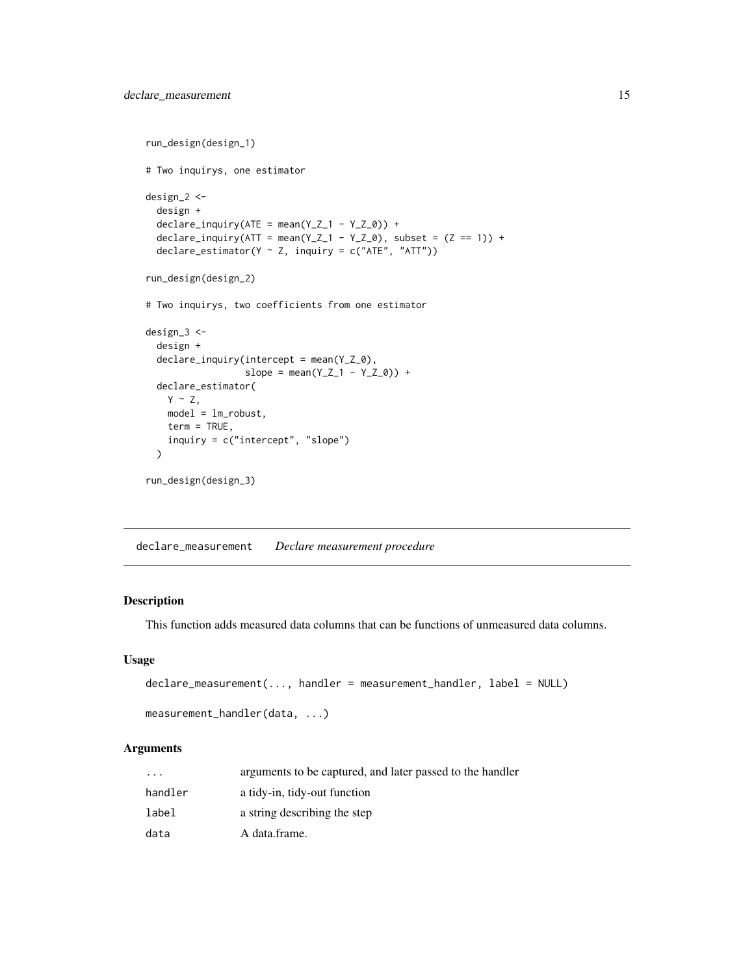```
run_design(design_1)
# Two inquirys, one estimator
design_2 <-
 design +
 \text{dec}lare_inquiry(ATE = mean(Y_Z_1 - Y_Z_0)) +
 declare_inquiry(ATT = mean(Y_Z_1 - Y_Z_0), subset = (Z == 1)) +
 declare_estimator(Y \sim Z, inquiry = c("ATE", "ATT"))
run_design(design_2)
# Two inquirys, two coefficients from one estimator
design_3 <-
 design +
 declare_inquiry(intercept = mean(Y_Z_0),
                  slope = mean(Y_ Z_1 - Y_ Z_0) +
 declare_estimator(
   Y \sim Z,
   model = lm_robust,
   term = TRUE,
    inquiry = c("intercept", "slope")
 \lambdarun_design(design_3)
```
<span id="page-14-1"></span>declare\_measurement *Declare measurement procedure*

#### Description

This function adds measured data columns that can be functions of unmeasured data columns.

#### Usage

```
declare_measurement(..., handler = measurement_handler, label = NULL)
```

```
measurement_handler(data, ...)
```
#### Arguments

| $\cdot$ | arguments to be captured, and later passed to the handler |
|---------|-----------------------------------------------------------|
| handler | a tidy-in, tidy-out function                              |
| label   | a string describing the step                              |
| data    | A data.frame.                                             |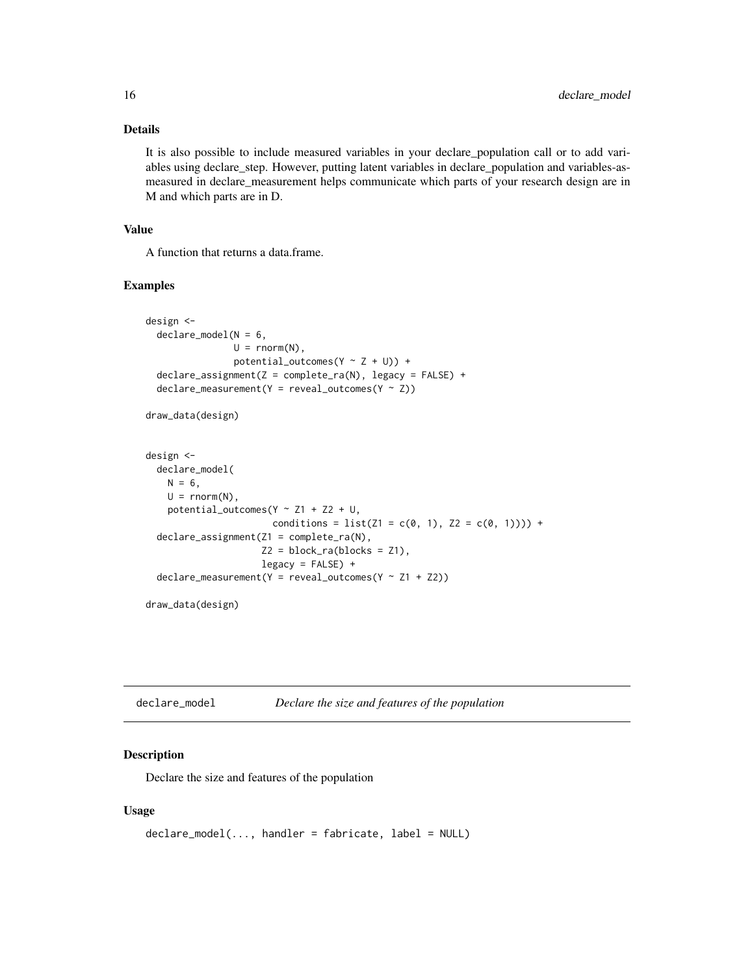# <span id="page-15-0"></span>Details

It is also possible to include measured variables in your declare\_population call or to add variables using declare\_step. However, putting latent variables in declare\_population and variables-asmeasured in declare\_measurement helps communicate which parts of your research design are in M and which parts are in D.

# Value

A function that returns a data.frame.

#### Examples

```
design <-
 declare_model(N = 6,U = rnorm(N),
                potential_outcomes(Y \sim Z + U) +
 \text{dec}lare_assignment(Z = complete_ra(N), legacy = FALSE) +
 \text{dec}lare_measurement(Y = reveal_outcomes(Y ~ Z))
draw_data(design)
design <-
 declare_model(
   N = 6,
   U = rnorm(N),
   potential_outcomes(Y \sim Z1 + Z2 + U,
                       conditions = list(21 = c(0, 1), 22 = c(0, 1)))) +
 declare_assignment(Z1 = complete_ra(N),
                     Z2 = block-ra(blocks = Z1),legacy = FALSE) +
 declarge_measurement(Y = reveal_outcomes(Y ~ Z1 + Z2))
draw_data(design)
```
<span id="page-15-1"></span>

| declare_model | Declare the size and features of the population |
|---------------|-------------------------------------------------|
|---------------|-------------------------------------------------|

# Description

Declare the size and features of the population

### Usage

```
declare_model(..., handler = fabricate, label = NULL)
```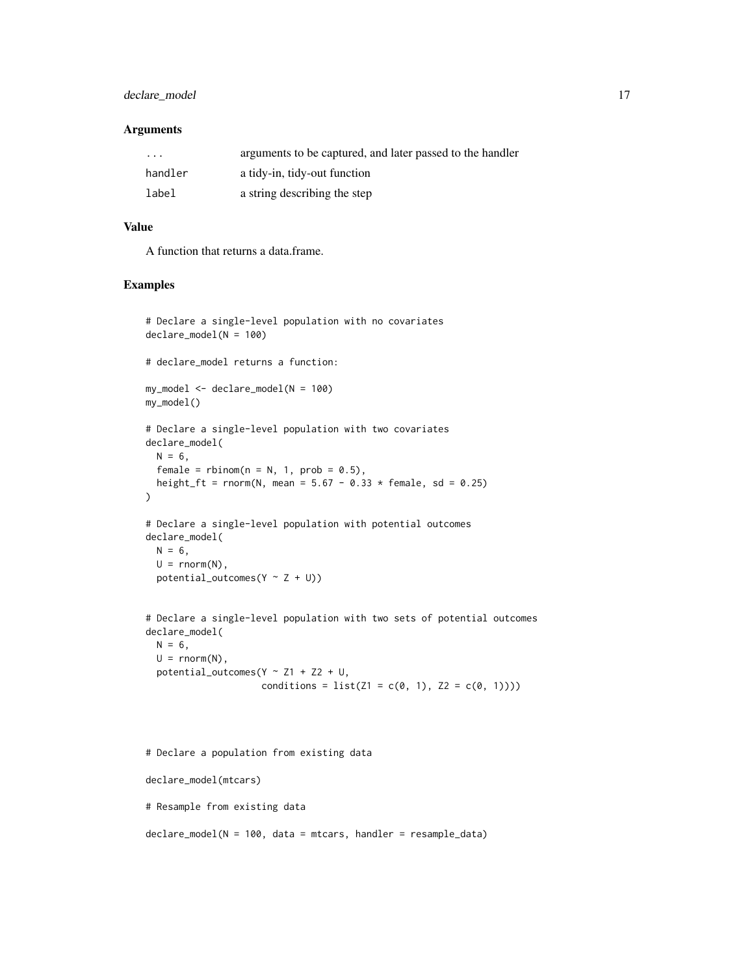#### declare\_model 17

#### Arguments

| $\cdots$ | arguments to be captured, and later passed to the handler |
|----------|-----------------------------------------------------------|
| handler  | a tidy-in, tidy-out function                              |
| label    | a string describing the step                              |

#### Value

A function that returns a data.frame.

#### Examples

```
# Declare a single-level population with no covariates
declare_model(N = 100)
# declare_model returns a function:
my_model <- declare_model(N = 100)
my_model()
# Declare a single-level population with two covariates
declare_model(
 N = 6,
  female = rbinom(n = N, 1, prob = 0.5),
  height_ft = rnorm(N, mean = 5.67 - 0.33 \times female, sd = 0.25)
\lambda# Declare a single-level population with potential outcomes
declare_model(
 N = 6,
  U = rnorm(N),potential_outcomes(Y \sim Z + U))
# Declare a single-level population with two sets of potential outcomes
declare_model(
  N = 6,
 U = rnorm(N),potential_outcomes(Y \sim Z1 + Z2 + U,
                     conditions = list(21 = c(0, 1), 22 = c(0, 1))))# Declare a population from existing data
declare_model(mtcars)
# Resample from existing data
```
declare\_model(N = 100, data = mtcars, handler = resample\_data)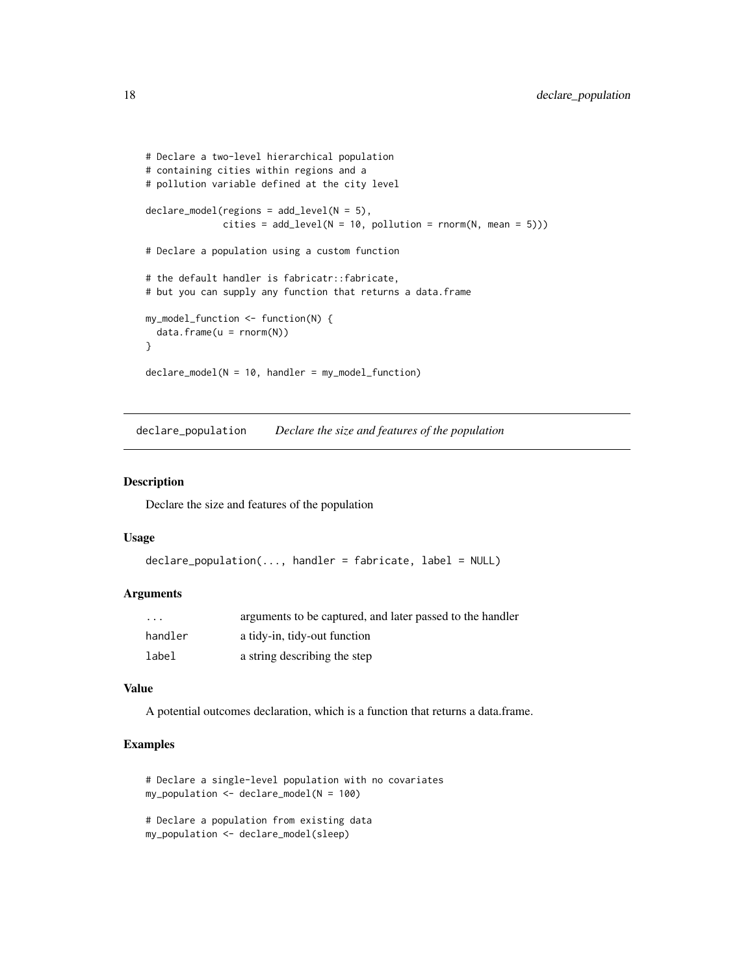```
# Declare a two-level hierarchical population
# containing cities within regions and a
# pollution variable defined at the city level
declare_model(regions = add_level(N = 5),
              cities = add\_level(N = 10, pollution = rnorm(N, mean = 5)))# Declare a population using a custom function
# the default handler is fabricatr::fabricate,
# but you can supply any function that returns a data.frame
my_model_function <- function(N) {
 data.frame(u = rnorm(N))
}
declare_model(N = 10, handler = my_model_function)
```
declare\_population *Declare the size and features of the population*

#### Description

Declare the size and features of the population

#### Usage

```
declare_population(..., handler = fabricate, label = NULL)
```
#### Arguments

| $\cdot$ $\cdot$ $\cdot$ | arguments to be captured, and later passed to the handler |
|-------------------------|-----------------------------------------------------------|
| handler                 | a tidy-in, tidy-out function                              |
| label                   | a string describing the step                              |

#### Value

A potential outcomes declaration, which is a function that returns a data.frame.

```
# Declare a single-level population with no covariates
my\_population \leq  declare_model(N = 100)
```

```
# Declare a population from existing data
my_population <- declare_model(sleep)
```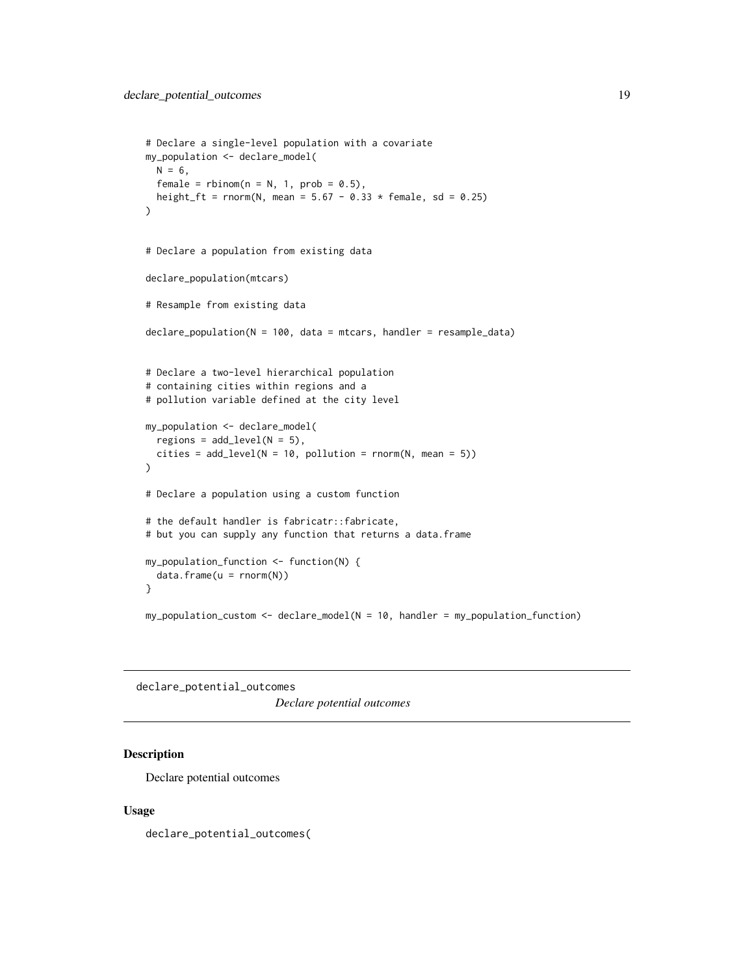```
# Declare a single-level population with a covariate
my_population <- declare_model(
 N = 6,
  female = rbinom(n = N, 1, prob = 0.5),
  height_ft = rnorm(N, mean = 5.67 - 0.33 * female, sd = 0.25)
)
# Declare a population from existing data
declare_population(mtcars)
# Resample from existing data
declare_population(N = 100, data = mtcars, handler = resample_data)
# Declare a two-level hierarchical population
# containing cities within regions and a
# pollution variable defined at the city level
my_population <- declare_model(
  regions = add\_level(N = 5),
  cities = add\_level(N = 10, pollution = rnorm(N, mean = 5)))
# Declare a population using a custom function
# the default handler is fabricatr::fabricate,
# but you can supply any function that returns a data.frame
my_population_function <- function(N) {
  data.frame(u = rnorm(N))
}
my_population_custom <- declare_model(N = 10, handler = my_population_function)
```
declare\_potential\_outcomes *Declare potential outcomes*

#### Description

Declare potential outcomes

#### Usage

declare\_potential\_outcomes(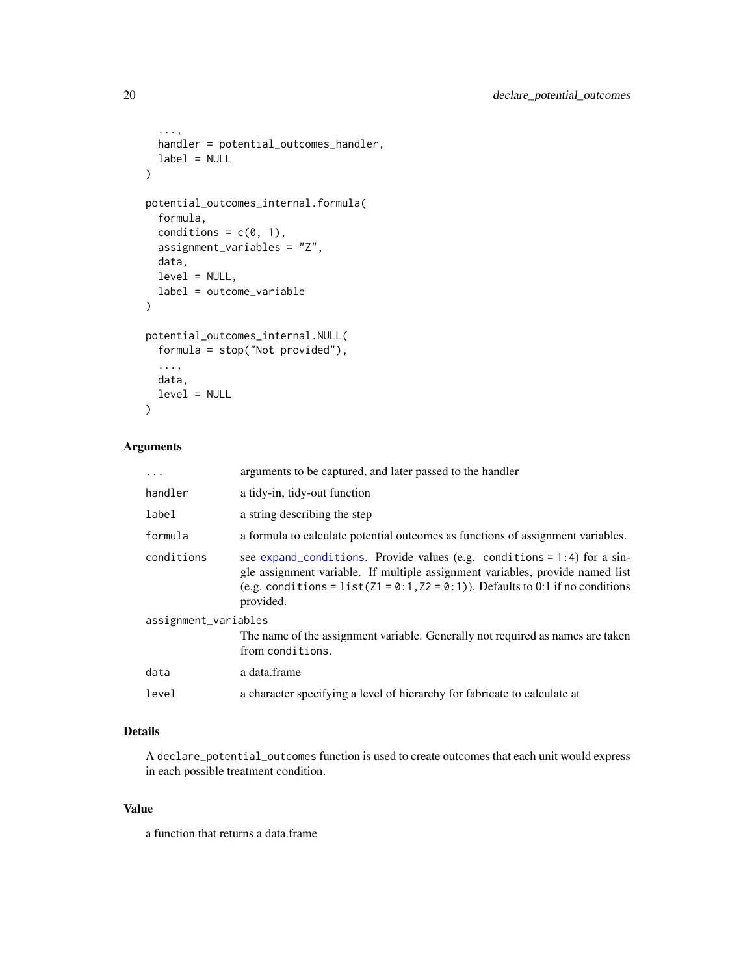```
...,
  handler = potential_outcomes_handler,
  label = NULL\mathcal{L}potential_outcomes_internal.formula(
  formula,
  conditions = c(\emptyset, 1),
  assignment_variables = "Z",
  data,
  level = NULL,
  label = outcome_variable
)
potential_outcomes_internal.NULL(
  formula = stop("Not provided"),
  ...,
  data,
  level = NULL
\mathcal{L}
```
# Arguments

| $\ddots$             | arguments to be captured, and later passed to the handler                                                                                                                                                                                                      |
|----------------------|----------------------------------------------------------------------------------------------------------------------------------------------------------------------------------------------------------------------------------------------------------------|
| handler              | a tidy-in, tidy-out function                                                                                                                                                                                                                                   |
| label                | a string describing the step                                                                                                                                                                                                                                   |
| formula              | a formula to calculate potential outcomes as functions of assignment variables.                                                                                                                                                                                |
| conditions           | see expand_conditions. Provide values (e.g. conditions = $1:4$ ) for a sin-<br>gle assignment variable. If multiple assignment variables, provide named list<br>(e.g. conditions = $list(21 = 0:1, Z2 = 0:1)$ ). Defaults to 0:1 if no conditions<br>provided. |
| assignment_variables |                                                                                                                                                                                                                                                                |
|                      | The name of the assignment variable. Generally not required as names are taken<br>from conditions.                                                                                                                                                             |
| data                 | a data.frame                                                                                                                                                                                                                                                   |
| level                | a character specifying a level of hierarchy for fabricate to calculate at                                                                                                                                                                                      |

# Details

A declare\_potential\_outcomes function is used to create outcomes that each unit would express in each possible treatment condition.

# Value

a function that returns a data.frame

<span id="page-19-0"></span>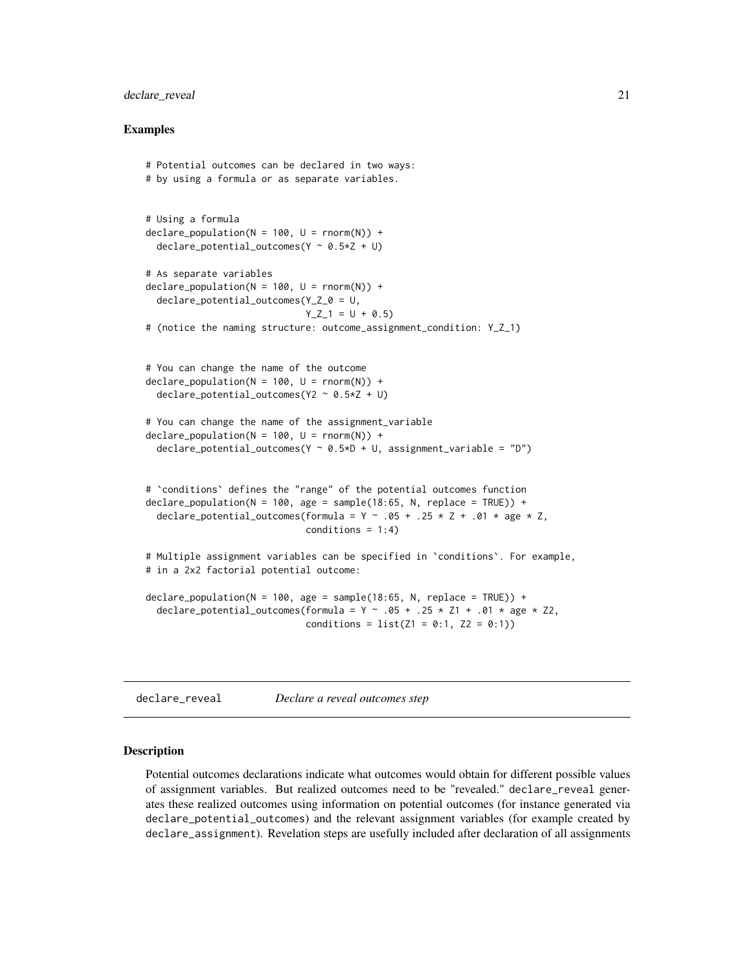#### <span id="page-20-0"></span>declare\_reveal 21

#### Examples

```
# Potential outcomes can be declared in two ways:
# by using a formula or as separate variables.
# Using a formula
declarge\_population(N = 100, U = rnorm(N)) +declare_potential_outcomes(Y \sim 0.5 \times Z + U)
# As separate variables
\text{dec}lare_population(N = 100, U = rnorm(N)) +
 declare_potential_outcomes(Y_Z_0 = U,
                              Y_Z_1 = U + 0.5# (notice the naming structure: outcome_assignment_condition: Y_Z_1)
# You can change the name of the outcome
\text{dec}lare_population(N = 100, U = rnorm(N)) +
 declare_potential_outcomes(Y2 ~ 0.5*Z + U)
# You can change the name of the assignment_variable
\text{dec}lare_population(N = 100, U = rnorm(N)) +
 declare_potential_outcomes(Y ~ 0.5*D + U, assignment_variable = "D")
# `conditions` defines the "range" of the potential outcomes function
declare_population(N = 100, age = sample(18:65, N, replace = TRUE)) +
 declare_potential_outcomes(formula = Y \sim .05 + .25 \times Z + .01 \times age \times Z,
                              conditions = 1:4)
# Multiple assignment variables can be specified in `conditions`. For example,
# in a 2x2 factorial potential outcome:
declare_population(N = 100, age = sample(18:65, N, replace = TRUE)) +
 declare_potential_outcomes(formula = Y \sim .05 + .25 \star Z1 + .01 \star age \star Z2,
                              conditions = list(Z1 = 0:1, Z2 = 0:1))
```
declare\_reveal *Declare a reveal outcomes step*

#### Description

Potential outcomes declarations indicate what outcomes would obtain for different possible values of assignment variables. But realized outcomes need to be "revealed." declare\_reveal generates these realized outcomes using information on potential outcomes (for instance generated via declare\_potential\_outcomes) and the relevant assignment variables (for example created by declare\_assignment). Revelation steps are usefully included after declaration of all assignments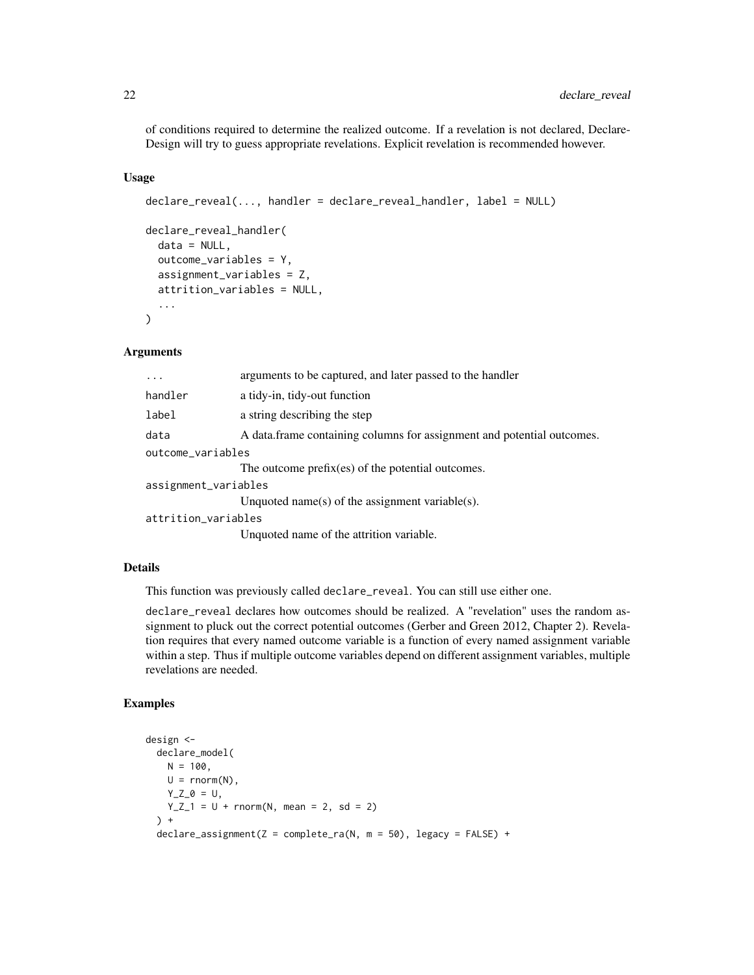of conditions required to determine the realized outcome. If a revelation is not declared, Declare-Design will try to guess appropriate revelations. Explicit revelation is recommended however.

#### Usage

```
declare_reveal(..., handler = declare_reveal_handler, label = NULL)
declare_reveal_handler(
 data = NULL,
 outcome_variables = Y,
  assignment_variables = Z,
  attrition_variables = NULL,
  ...
\mathcal{L}
```
# Arguments

| $\cdots$             | arguments to be captured, and later passed to the handler              |
|----------------------|------------------------------------------------------------------------|
| handler              | a tidy-in, tidy-out function                                           |
| label                | a string describing the step                                           |
| data                 | A data frame containing columns for assignment and potential outcomes. |
| outcome_variables    |                                                                        |
|                      | The outcome prefix(es) of the potential outcomes.                      |
| assignment_variables |                                                                        |
|                      | Unquoted name(s) of the assignment variable(s).                        |
| attrition_variables  |                                                                        |
|                      | Unquoted name of the attrition variable.                               |

#### Details

This function was previously called declare\_reveal. You can still use either one.

declare\_reveal declares how outcomes should be realized. A "revelation" uses the random assignment to pluck out the correct potential outcomes (Gerber and Green 2012, Chapter 2). Revelation requires that every named outcome variable is a function of every named assignment variable within a step. Thus if multiple outcome variables depend on different assignment variables, multiple revelations are needed.

```
design <-
  declare_model(
    N = 100,
    U = rnorm(N),Y_{Z_0} = U,
    Y_Z_1 = U + \text{norm}(N, \text{ mean } = 2, \text{ sd } = 2)) +\text{dec}lare_assignment(Z = complete_ra(N, m = 50), legacy = FALSE) +
```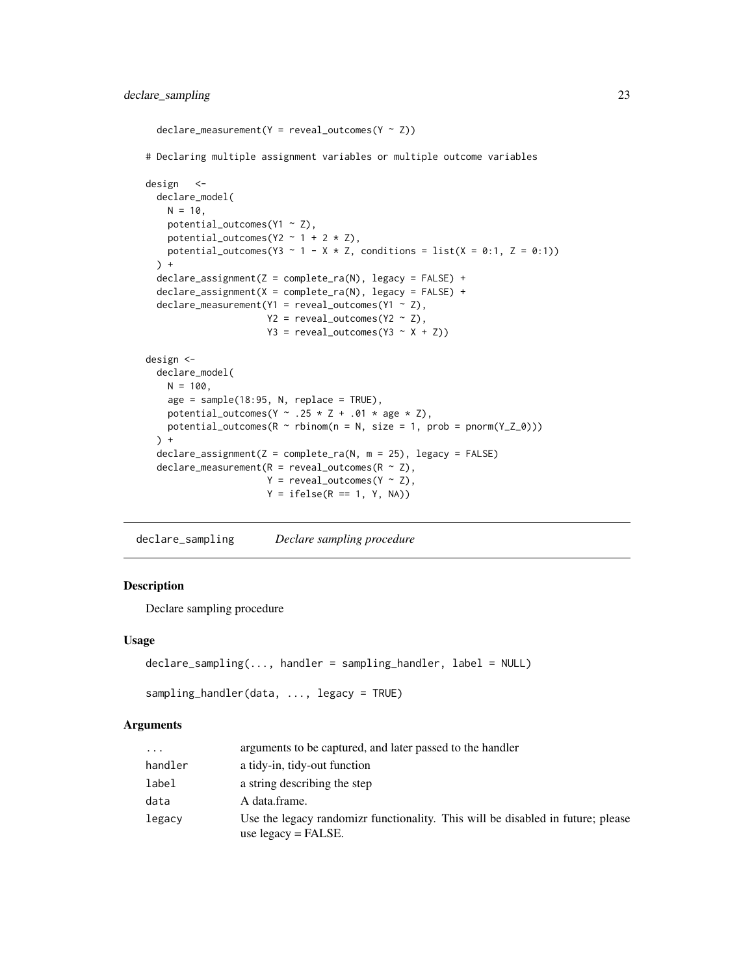```
\text{dec}lare_measurement(Y = reveal_outcomes(Y ~ Z))
# Declaring multiple assignment variables or multiple outcome variables
design <-
 declare_model(
   N = 10,
   potential_outcomes(Y1 ~ Z),
   potential_outcomes(Y2 \sim 1 + 2 \times Z),
   potential_outcomes(Y3 ~ 1 - X * Z, conditions = list(X = 0:1, Z = 0:1))
 ) +declare_assignment(Z = complete_ra(N), legacy = FALSE) +
 declare_assignment(X = complete_ra(N), legacy = FALSE) +
 \text{dec}lare_measurement(Y1 = reveal_outcomes(Y1 ~ Z),
                       Y2 = reveal\_outcomes(Y2 ~ 2),Y3 = reveal\_outcomes(Y3 ~ x + Z))design <-
 declare_model(
   N = 100,
    age = sample(18:95, N, replace = TRUE),potential_outcomes(Y \sim .25 \times Z + .01 \times age \times Z),
   potential_outcomes(R \sim rbinom(n = N, size = 1, prob = pnorm(Y_Z_0)))
 ) +
 declare_assignment(Z = complete_ra(N, m = 25), legacy = FALSE)
 declare_measurement(R = reveal_outcomes(R \sim Z),
                       Y = \text{reveal\_outcomes}(Y \sim Z),Y = ifelse(R == 1, Y, NA))
```
<span id="page-22-1"></span>declare\_sampling *Declare sampling procedure*

# Description

Declare sampling procedure

#### Usage

```
declare_sampling(..., handler = sampling_handler, label = NULL)
```

```
sampling_handler(data, ..., legacy = TRUE)
```
#### Arguments

| $\ddots$ | arguments to be captured, and later passed to the handler                                                              |
|----------|------------------------------------------------------------------------------------------------------------------------|
| handler  | a tidy-in, tidy-out function                                                                                           |
| label    | a string describing the step                                                                                           |
| data     | A data.frame.                                                                                                          |
| legacy   | Use the legacy randomize functionality. This will be disabled in future; please<br>use $\text{legacy} = \text{FALSE.}$ |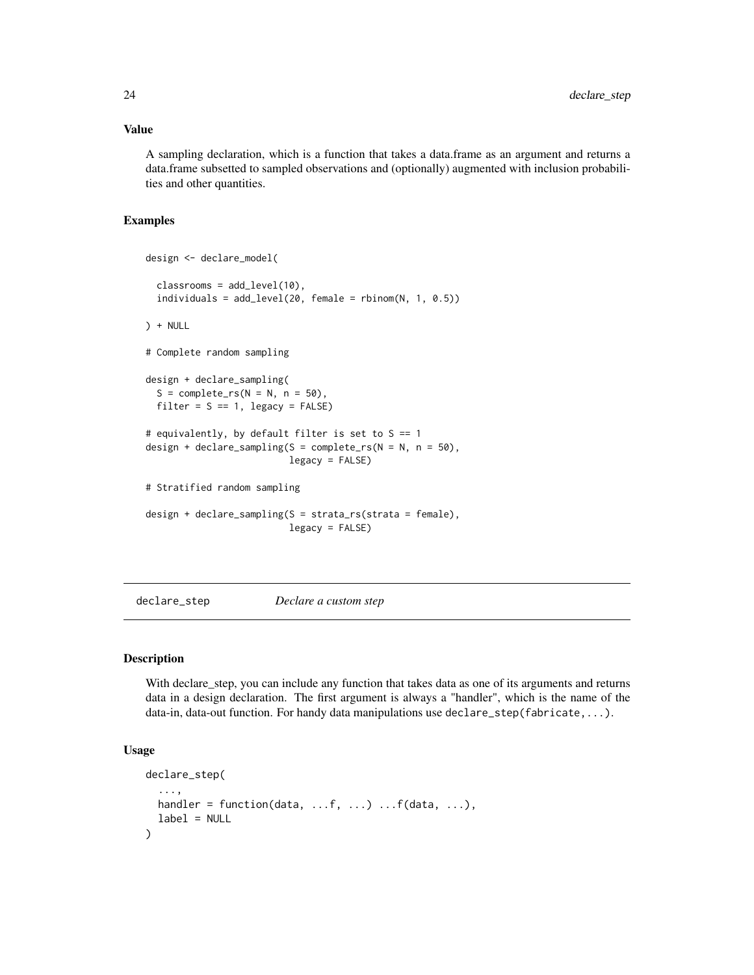# <span id="page-23-0"></span>Value

A sampling declaration, which is a function that takes a data.frame as an argument and returns a data.frame subsetted to sampled observations and (optionally) augmented with inclusion probabilities and other quantities.

#### Examples

```
design <- declare_model(
 classrooms = add_level(10),
 individuals = add\_level(20, female = rbinom(N, 1, 0.5))) + NULL
# Complete random sampling
design + declare_sampling(
 S = complete\_rs(N = N, n = 50),
 filter = S == 1, legacy = FALSE)
# equivalently, by default filter is set to S == 1
design + declare_sampling(S = complete_rs(N = N, n = 50),
                          legacy = FALSE)
# Stratified random sampling
design + declare_sampling(S = strata_rs(strata = female),
                          legacy = FALSE)
```
declare\_step *Declare a custom step*

### Description

With declare\_step, you can include any function that takes data as one of its arguments and returns data in a design declaration. The first argument is always a "handler", which is the name of the data-in, data-out function. For handy data manipulations use declare\_step(fabricate,...).

#### Usage

```
declare_step(
  ...,
 handler = function(data, ...f, ...) ...f(data, ...),
 label = NULL)
```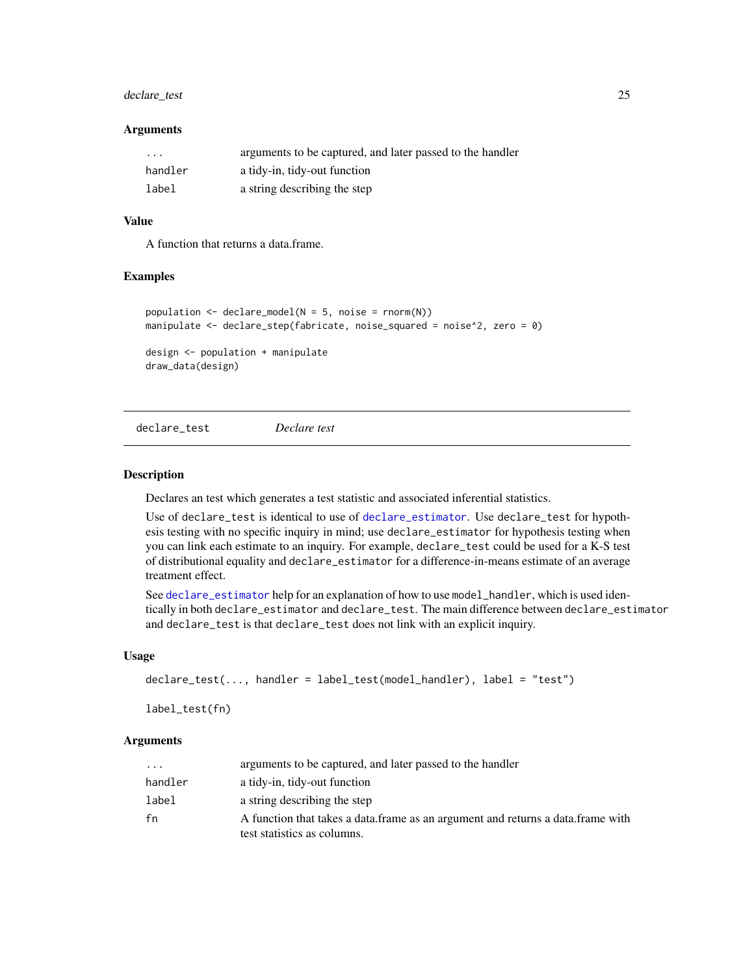# <span id="page-24-0"></span>declare\_test 25

#### Arguments

| $\cdots$ | arguments to be captured, and later passed to the handler |
|----------|-----------------------------------------------------------|
| handler  | a tidy-in, tidy-out function                              |
| label    | a string describing the step                              |

#### Value

A function that returns a data.frame.

#### Examples

```
population \leq declare_model(N = 5, noise = rnorm(N))
manipulate <- declare_step(fabricate, noise_squared = noise^2, zero = 0)
design <- population + manipulate
```
draw\_data(design)

<span id="page-24-1"></span>declare\_test *Declare test*

# Description

Declares an test which generates a test statistic and associated inferential statistics.

Use of declare\_test is identical to use of [declare\\_estimator](#page-9-1). Use declare\_test for hypothesis testing with no specific inquiry in mind; use declare\_estimator for hypothesis testing when you can link each estimate to an inquiry. For example, declare\_test could be used for a K-S test of distributional equality and declare\_estimator for a difference-in-means estimate of an average treatment effect.

See [declare\\_estimator](#page-9-1) help for an explanation of how to use model\_handler, which is used identically in both declare\_estimator and declare\_test. The main difference between declare\_estimator and declare\_test is that declare\_test does not link with an explicit inquiry.

#### Usage

```
declare_test(..., handler = label_test(model_handler), label = "test")
```
label\_test(fn)

#### Arguments

| $\cdots$ | arguments to be captured, and later passed to the handler                                                        |
|----------|------------------------------------------------------------------------------------------------------------------|
| handler  | a tidy-in, tidy-out function                                                                                     |
| label    | a string describing the step                                                                                     |
| fn       | A function that takes a data. frame as an argument and returns a data. frame with<br>test statistics as columns. |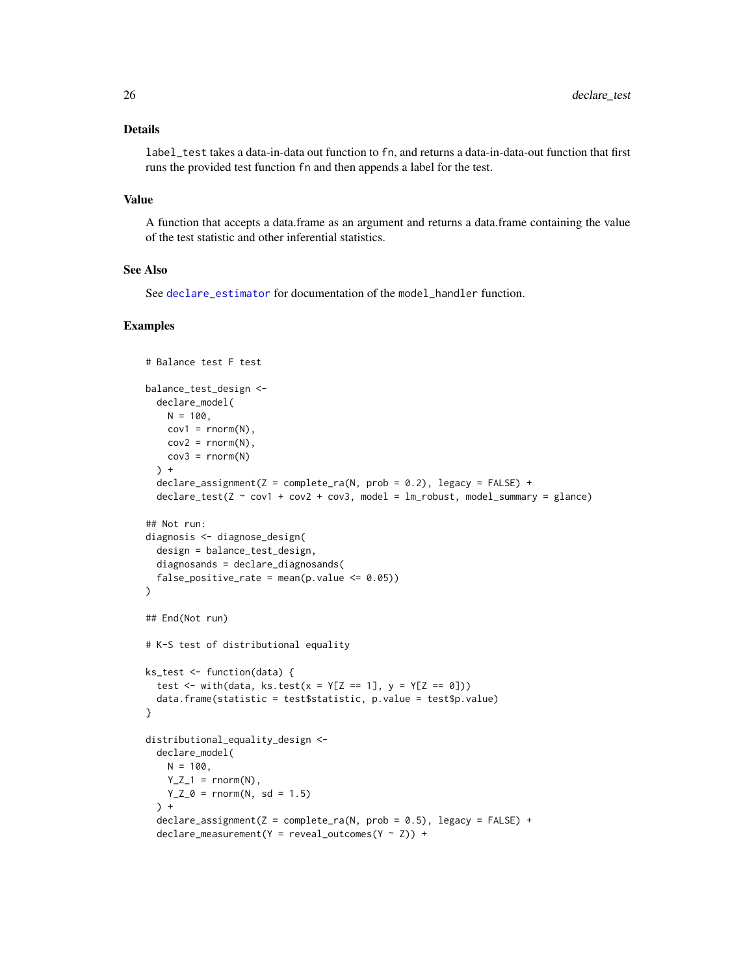# Details

label\_test takes a data-in-data out function to fn, and returns a data-in-data-out function that first runs the provided test function fn and then appends a label for the test.

#### Value

A function that accepts a data.frame as an argument and returns a data.frame containing the value of the test statistic and other inferential statistics.

# See Also

See [declare\\_estimator](#page-9-1) for documentation of the model\_handler function.

```
# Balance test F test
balance_test_design <-
  declare_model(
    N = 100,
    cov1 = rnorm(N),
    cov2 = rnorm(N),
    cov3 = rnorm(N)) +
  \text{dec}lare_assignment(Z = complete_ra(N, prob = 0.2), legacy = FALSE) +
  \text{dec} \text{L} = \text{test}(Z \sim \text{cov1 + cov2 + cov3, model = lm\_robust, model\_summary = glance})## Not run:
diagnosis <- diagnose_design(
  design = balance_test_design,
  diagnosands = declare_diagnosands(
  false_positive_rate = mean(p.value \leq 0.05))
)
## End(Not run)
# K-S test of distributional equality
ks_test <- function(data) {
  test <- with(data, ks.test(x = Y[Z == 1], y = Y[Z == 0]))
  data.frame(statistic = test$statistic, p.value = test$p.value)
}
distributional_equality_design <-
  declare_model(
    N = 100,
    Y_Z_1 = \text{norm}(N),Y_Z_0 = \text{norm}(N, sd = 1.5)\rightarrow +
  \text{dec}lare_assignment(Z = complete_ra(N, prob = 0.5), legacy = FALSE) +
  \text{dec}lare_measurement(Y = reveal_outcomes(Y ~ Z)) +
```
<span id="page-25-0"></span>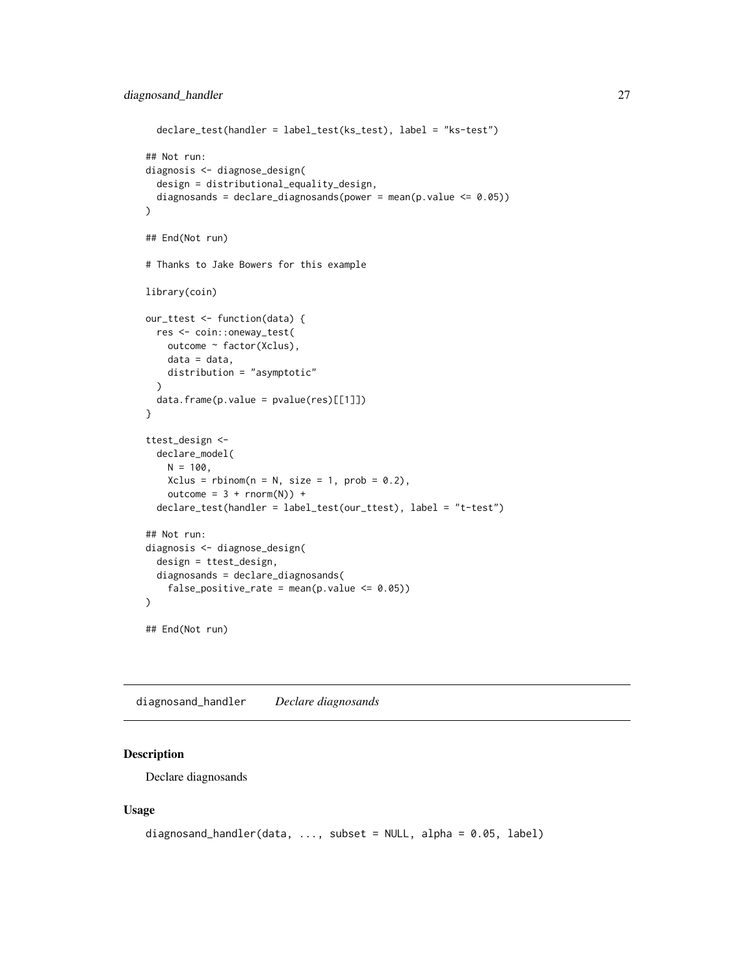```
declare_test(handler = label_test(ks_test), label = "ks-test")
## Not run:
diagnosis <- diagnose_design(
  design = distributional_equality_design,
  diagnosands = declare_diagnosands(power = mean(p.value <= 0.05))
\mathcal{L}## End(Not run)
# Thanks to Jake Bowers for this example
library(coin)
our_ttest <- function(data) {
  res <- coin::oneway_test(
    outcome ~ factor(Xclus),
    data = data,
    distribution = "asymptotic"
  )
  data.frame(p.value = pvalue(res)[[1]])
}
ttest_design <-
  declare_model(
    N = 100,Xclus = rhinom(n = N, size = 1, prob = 0.2),
    outcome = 3 + rnorm(N)) +declare_test(handler = label_test(our_ttest), label = "t-test")
## Not run:
diagnosis <- diagnose_design(
  design = ttest_design,
  diagnosands = declare_diagnosands(
    false_positive_rate = mean(p.value \leq 0.05))
\mathcal{L}## End(Not run)
```
diagnosand\_handler *Declare diagnosands*

#### <span id="page-26-1"></span>Description

Declare diagnosands

#### Usage

```
diagnosand_handler(data, \ldots, subset = NULL, alpha = 0.05, label)
```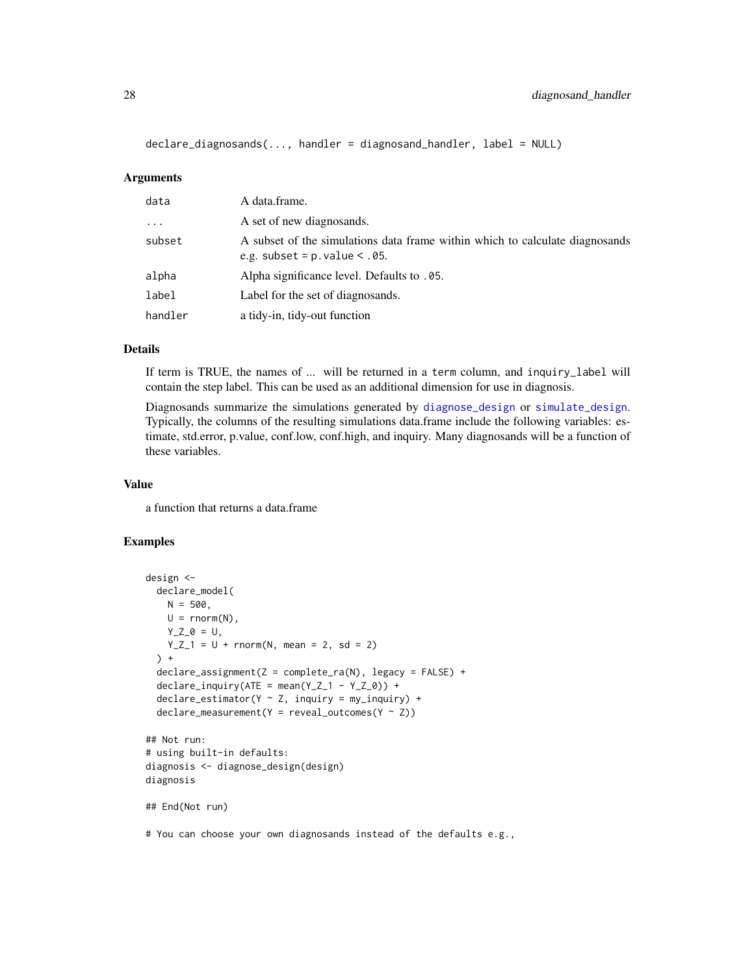```
declare_diagnosands(..., handler = diagnosand_handler, label = NULL)
```
#### Arguments

| data     | A data.frame.                                                                                                    |
|----------|------------------------------------------------------------------------------------------------------------------|
| $\cdots$ | A set of new diagnosands.                                                                                        |
| subset   | A subset of the simulations data frame within which to calculate diagnosands<br>e.g. subset = $p.values < .05$ . |
| alpha    | Alpha significance level. Defaults to .05.                                                                       |
| label    | Label for the set of diagnosands.                                                                                |
| handler  | a tidy-in, tidy-out function                                                                                     |

# **Details**

If term is TRUE, the names of ... will be returned in a term column, and inquiry\_label will contain the step label. This can be used as an additional dimension for use in diagnosis.

Diagnosands summarize the simulations generated by [diagnose\\_design](#page-28-1) or [simulate\\_design](#page-44-1). Typically, the columns of the resulting simulations data.frame include the following variables: estimate, std.error, p.value, conf.low, conf.high, and inquiry. Many diagnosands will be a function of these variables.

#### Value

a function that returns a data.frame

```
design <-
  declare_model(
    N = 500,
    U = rnorm(N),
    Y_Z_0 = U,
    Y_Z_1 = U + \text{norm}(N, \text{ mean } = 2, \text{ sd } = 2)) +
  \text{dec}lare_assignment(Z = complete_ra(N), legacy = FALSE) +
  declare_inquiry(ATE = mean(Y_Z_1 - Y_Z_0)) +\text{dec}lare_estimator(Y ~ Z, inquiry = my_inquiry) +
  \text{dec}lare_measurement(Y = reveal_outcomes(Y ~ Z))
## Not run:
# using built-in defaults:
diagnosis <- diagnose_design(design)
diagnosis
## End(Not run)
# You can choose your own diagnosands instead of the defaults e.g.,
```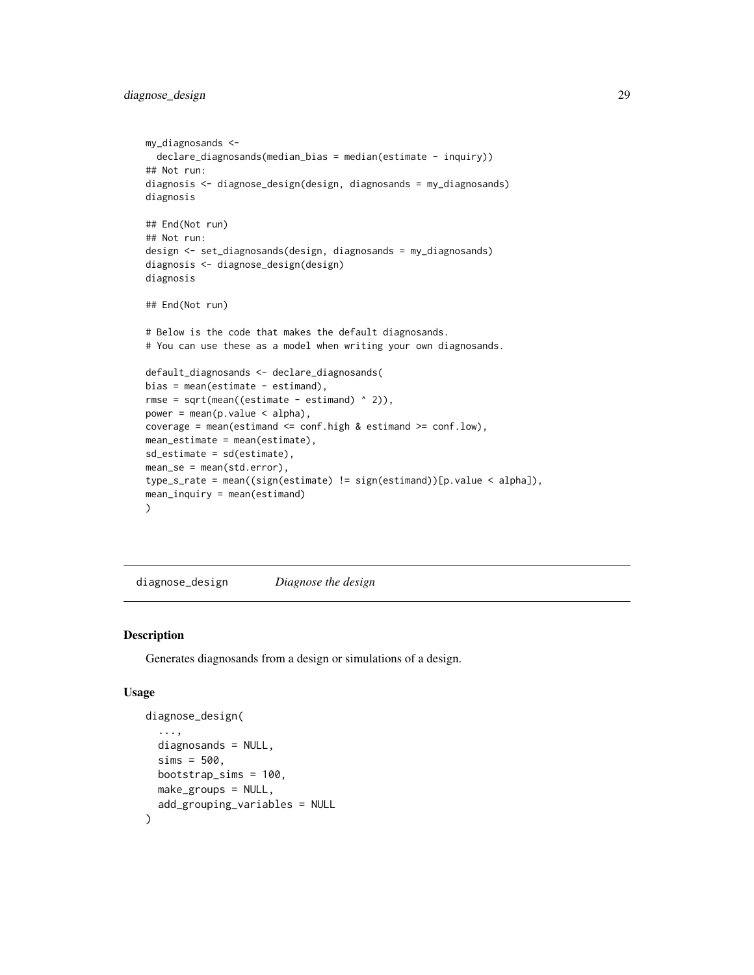# <span id="page-28-0"></span>diagnose\_design 29

```
my_diagnosands <-
  declare_diagnosands(median_bias = median(estimate - inquiry))
## Not run:
diagnosis <- diagnose_design(design, diagnosands = my_diagnosands)
diagnosis
## End(Not run)
## Not run:
design <- set_diagnosands(design, diagnosands = my_diagnosands)
diagnosis <- diagnose_design(design)
diagnosis
## End(Not run)
# Below is the code that makes the default diagnosands.
# You can use these as a model when writing your own diagnosands.
default_diagnosands <- declare_diagnosands(
bias = mean(estimate - estimand),
rmse = sqrt(mean((estimate - estimand) ^ 2)),
power = mean(p.value < alpha),
coverage = mean(estimand <= conf.high & estimand >= conf.low),
mean_estimate = mean(estimate),
sd_estimate = sd(estimate),
mean_se = mean(std.error),
type_s_rate = mean((sign(estimate) != sign(estimand))[p.value < alpha]),
mean_inquiry = mean(estimand)
)
```
<span id="page-28-1"></span>diagnose\_design *Diagnose the design*

#### Description

Generates diagnosands from a design or simulations of a design.

#### Usage

```
diagnose_design(
  ...,
  diagnosands = NULL,
  sims = 500.
 bootstrap_sims = 100,
  make_groups = NULL,
  add_grouping_variables = NULL
\lambda
```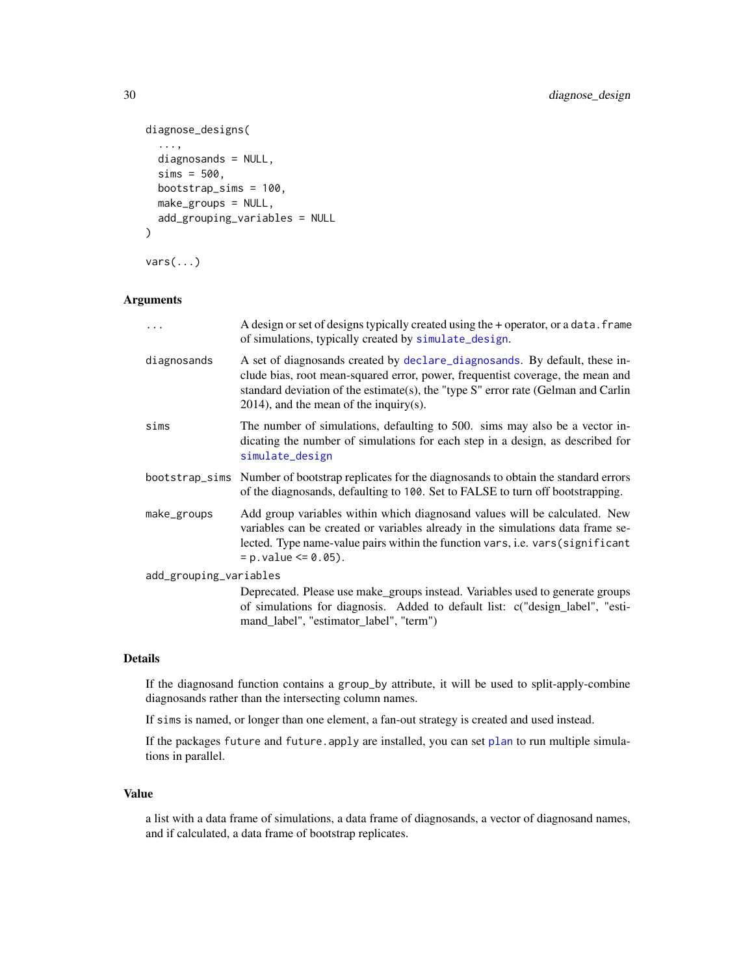```
diagnose_designs(
  ...,
 diagnosands = NULL,
 sims = 500,
 bootstrap_sims = 100,
 make_groups = NULL,
 add_grouping_variables = NULL
\lambdavars(...)
```
# Arguments

| .                      | A design or set of designs typically created using the + operator, or a data. frame<br>of simulations, typically created by simulate_design.                                                                                                                                                      |
|------------------------|---------------------------------------------------------------------------------------------------------------------------------------------------------------------------------------------------------------------------------------------------------------------------------------------------|
| diagnosands            | A set of diagnosands created by declare_diagnosands. By default, these in-<br>clude bias, root mean-squared error, power, frequentist coverage, the mean and<br>standard deviation of the estimate(s), the "type $S$ " error rate (Gelman and Carlin<br>$2014$ ), and the mean of the inquiry(s). |
| sims                   | The number of simulations, defaulting to 500. sims may also be a vector in-<br>dicating the number of simulations for each step in a design, as described for<br>simulate_design                                                                                                                  |
|                        | bootstrap_sims Number of bootstrap replicates for the diagnosands to obtain the standard errors<br>of the diagnosands, defaulting to 100. Set to FALSE to turn off bootstrapping.                                                                                                                 |
| make_groups            | Add group variables within which diagnosand values will be calculated. New<br>variables can be created or variables already in the simulations data frame se-<br>lected. Type name-value pairs within the function vars, i.e. vars (significant<br>$= p. value \le 0.05$ .                        |
| add_grouping_variables |                                                                                                                                                                                                                                                                                                   |
|                        | Deprecated. Please use make_groups instead. Variables used to generate groups<br>of simulations for diagnosis. Added to default list: c("design_label", "esti-<br>mand_label", "estimator_label", "term")                                                                                         |

# Details

If the diagnosand function contains a group\_by attribute, it will be used to split-apply-combine diagnosands rather than the intersecting column names.

If sims is named, or longer than one element, a fan-out strategy is created and used instead.

If the packages future and future.apply are installed, you can set [plan](#page-0-0) to run multiple simulations in parallel.

#### Value

a list with a data frame of simulations, a data frame of diagnosands, a vector of diagnosand names, and if calculated, a data frame of bootstrap replicates.

<span id="page-29-0"></span>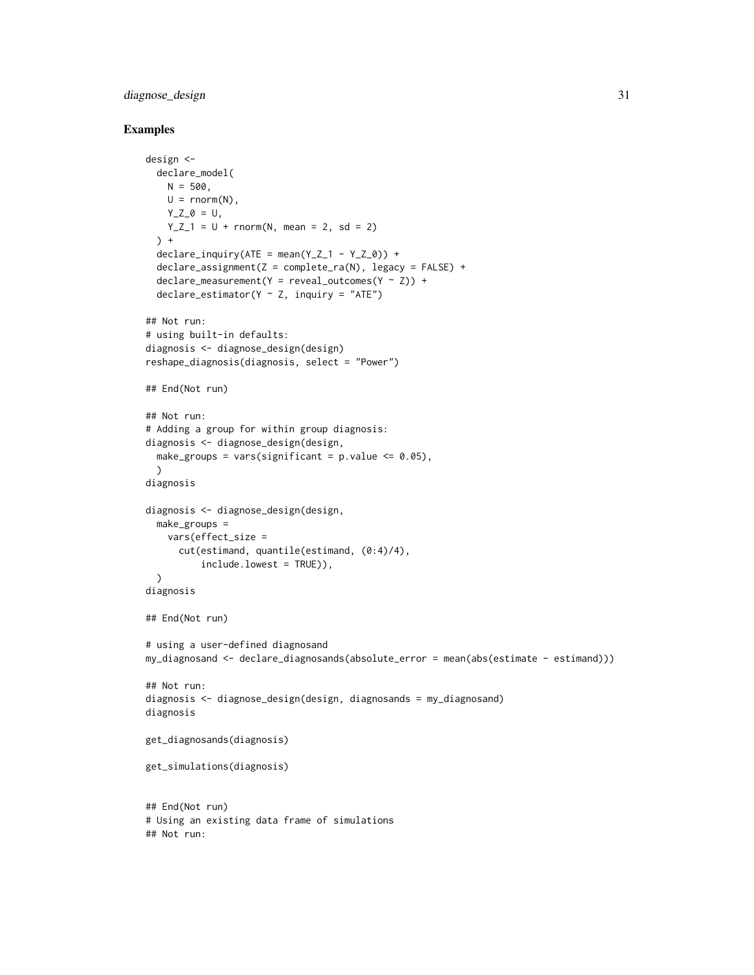# diagnose\_design 31

```
design <-
 declare_model(
   N = 500,
   U = rnorm(N),Y_Z_0 = U,
   Y_Z_1 = U + \text{norm}(N, \text{ mean } = 2, \text{ sd } = 2)) +
 declare_inquiry(ATE = mean(Y_Z_1 - Y_Z_0)) +declare_assignment(Z = complete_ra(N), legacy = FALSE) +
 \text{dec}lare_measurement(Y = reveal_outcomes(Y ~ Z)) +
 declare\_estimator(Y \sim Z, inquiry = "ATE")## Not run:
# using built-in defaults:
diagnosis <- diagnose_design(design)
reshape_diagnosis(diagnosis, select = "Power")
## End(Not run)
## Not run:
# Adding a group for within group diagnosis:
diagnosis <- diagnose_design(design,
 make_groups = vars(significant = p.value \leq 0.05),
 \lambdadiagnosis
diagnosis <- diagnose_design(design,
 make_groups =
   vars(effect_size =
      cut(estimand, quantile(estimand, (0:4)/4),
          include.lowest = TRUE)),
 \lambdadiagnosis
## End(Not run)
# using a user-defined diagnosand
my_diagnosand <- declare_diagnosands(absolute_error = mean(abs(estimate - estimand)))
## Not run:
diagnosis <- diagnose_design(design, diagnosands = my_diagnosand)
diagnosis
get_diagnosands(diagnosis)
get_simulations(diagnosis)
## End(Not run)
# Using an existing data frame of simulations
## Not run:
```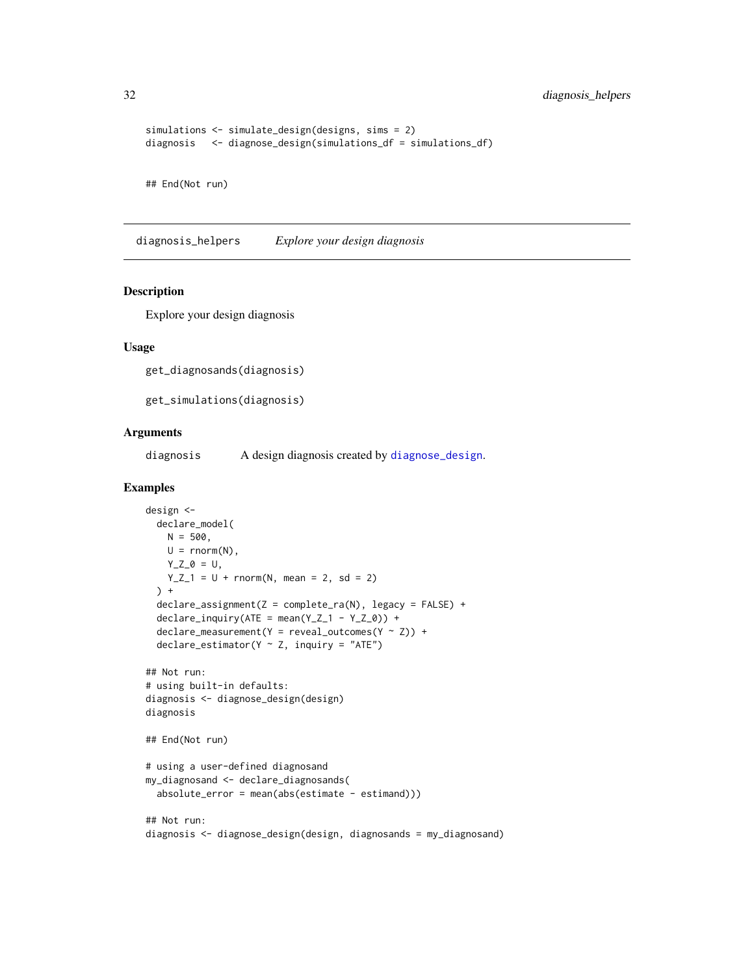<span id="page-31-0"></span>32 diagnosis\_helpers

```
simulations <- simulate_design(designs, sims = 2)
diagnosis <- diagnose_design(simulations_df = simulations_df)
## End(Not run)
```
diagnosis\_helpers *Explore your design diagnosis*

#### Description

Explore your design diagnosis

#### Usage

```
get_diagnosands(diagnosis)
```
get\_simulations(diagnosis)

# Arguments

diagnosis A design diagnosis created by [diagnose\\_design](#page-28-1).

```
design <-
  declare_model(
    N = 500,
    U = \text{rnorm}(N),Y_Z_0 = U,
    Y_Z_1 = U + \text{norm}(N, \text{ mean } = 2, \text{ sd } = 2)) +declare_assignment(Z = complete_ra(N), legacy = FALSE) +
  \text{dec}lare_inquiry(ATE = mean(Y_Z_1 - Y_Z_0)) +
  \text{dec}lare_measurement(Y = reveal_outcomes(Y ~ Z)) +
  declare\_estimator(Y \sim Z, inquiry = "ATE")## Not run:
# using built-in defaults:
diagnosis <- diagnose_design(design)
diagnosis
## End(Not run)
# using a user-defined diagnosand
my_diagnosand <- declare_diagnosands(
  absolute_error = mean(abs(estimate - estimand)))## Not run:
diagnosis <- diagnose_design(design, diagnosands = my_diagnosand)
```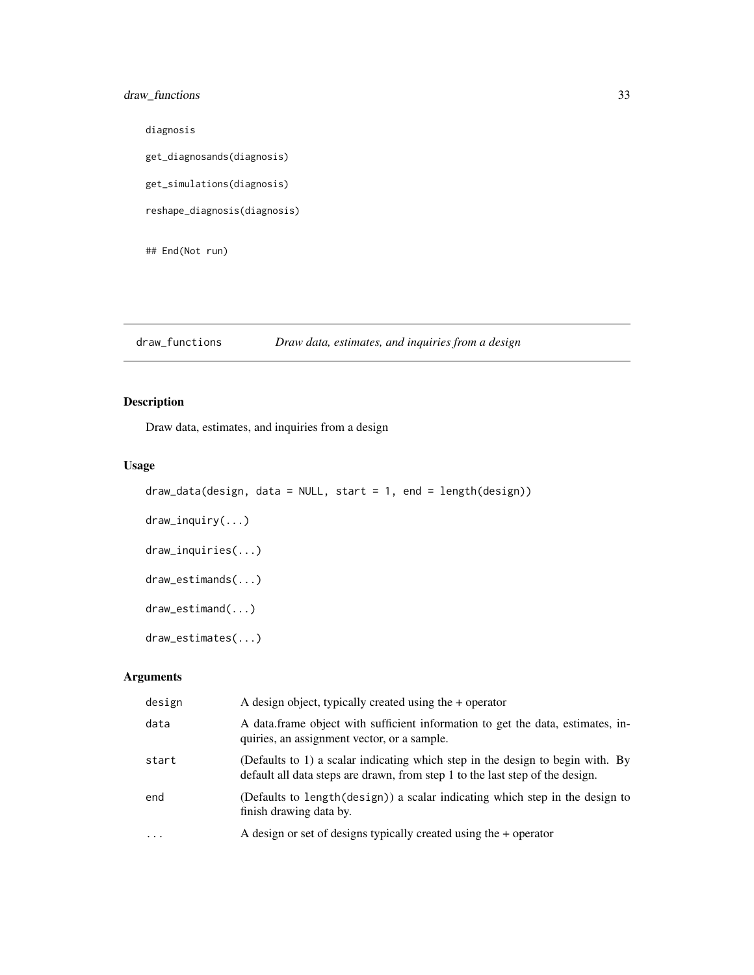# <span id="page-32-0"></span>draw\_functions 33

diagnosis get\_diagnosands(diagnosis) get\_simulations(diagnosis) reshape\_diagnosis(diagnosis)

## End(Not run)

draw\_functions *Draw data, estimates, and inquiries from a design*

# <span id="page-32-1"></span>Description

Draw data, estimates, and inquiries from a design

# Usage

```
draw_data(design, data = NULL, start = 1, end = length(design))
draw_inquiry(...)
draw_inquiries(...)
draw_estimands(...)
draw_estimand(...)
draw_estimates(...)
```
# Arguments

| design    | A design object, typically created using the $+$ operator                                                                                                       |
|-----------|-----------------------------------------------------------------------------------------------------------------------------------------------------------------|
| data      | A data frame object with sufficient information to get the data, estimates, in-<br>quiries, an assignment vector, or a sample.                                  |
| start     | (Defaults to 1) a scalar indicating which step in the design to begin with. By<br>default all data steps are drawn, from step 1 to the last step of the design. |
| end       | (Defaults to length(design)) a scalar indicating which step in the design to<br>finish drawing data by.                                                         |
| $\ddotsc$ | A design or set of designs typically created using the $+$ operator                                                                                             |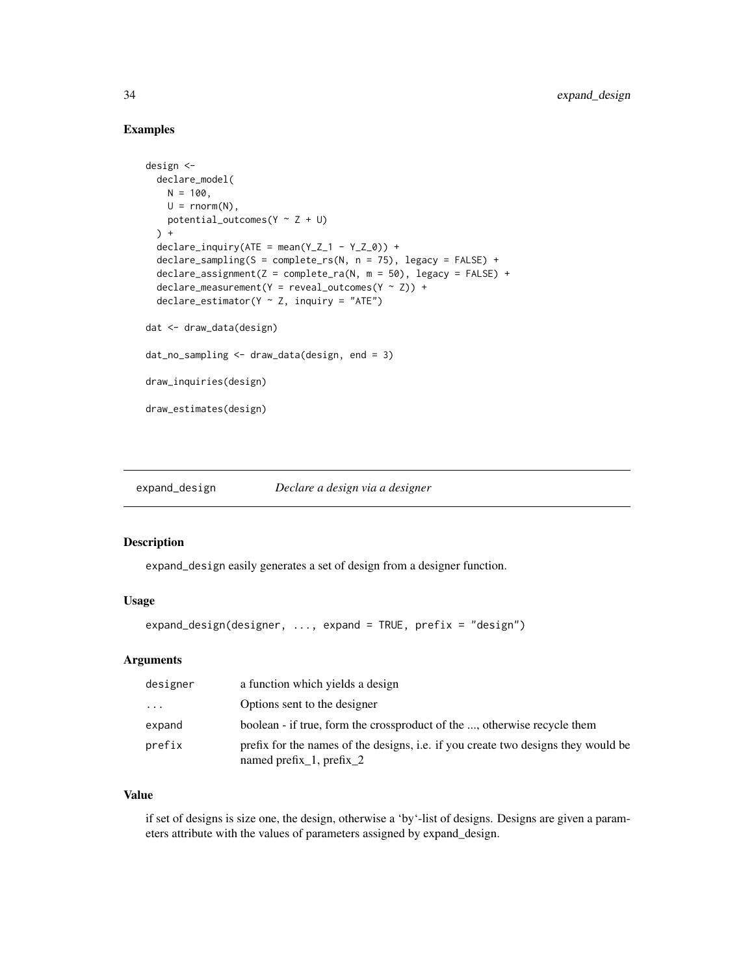### <span id="page-33-0"></span>Examples

```
design <-
 declare_model(
   N = 100,U = rnorm(N),
   potential_outcomes(Y \sim Z + U)
 ) +declarge\_inquiry(ATE = mean(Y_Z_1 - Y_Z_0)) +declarge\_sampling(S = complete\_rs(N, n = 75), legacy = FALSE) +\text{dec}lare_assignment(Z = complete_ra(N, m = 50), legacy = FALSE) +
 \text{dec}lare_measurement(Y = reveal_outcomes(Y ~ Z)) +
 declare\_estimator(Y \sim Z, inquiry = "ATE")dat <- draw_data(design)
dat_no_sampling <- draw_data(design, end = 3)
draw_inquiries(design)
draw_estimates(design)
```
<span id="page-33-1"></span>expand\_design *Declare a design via a designer*

# Description

expand\_design easily generates a set of design from a designer function.

#### Usage

```
expand_design(designer, ..., expand = TRUE, prefix = "design")
```
## Arguments

| designer | a function which yields a design                                                                              |
|----------|---------------------------------------------------------------------------------------------------------------|
| $\cdots$ | Options sent to the designer                                                                                  |
| expand   | boolean - if true, form the crossproduct of the , otherwise recycle them                                      |
| prefix   | prefix for the names of the designs, i.e. if you create two designs they would be<br>named prefix_1, prefix_2 |

# Value

if set of designs is size one, the design, otherwise a 'by'-list of designs. Designs are given a parameters attribute with the values of parameters assigned by expand\_design.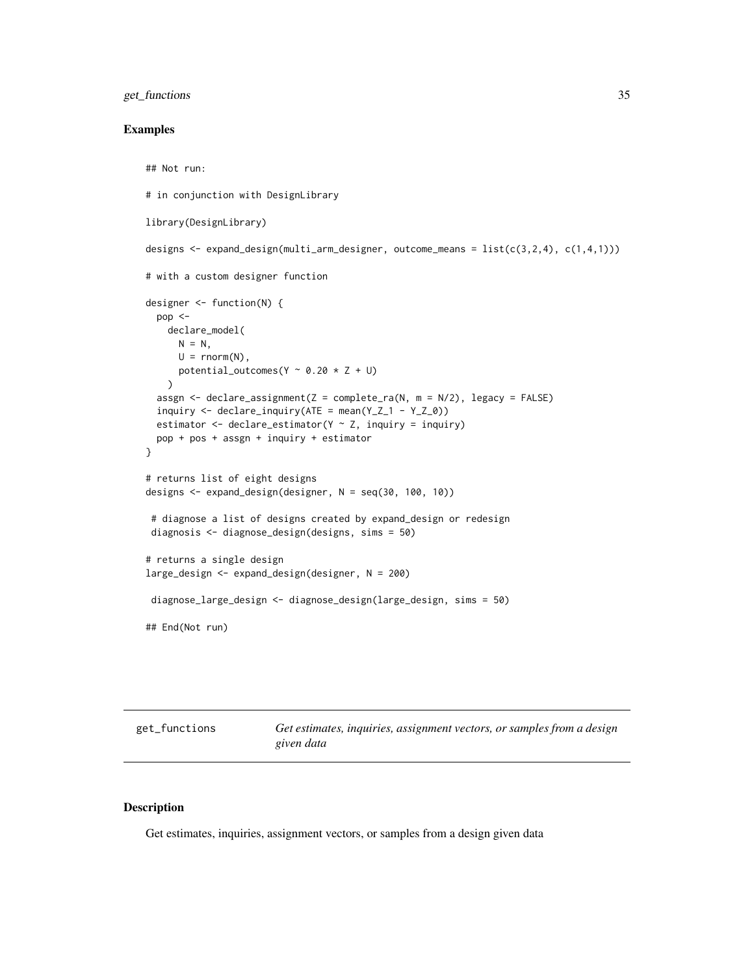# <span id="page-34-0"></span>get\_functions 35

#### Examples

```
## Not run:
# in conjunction with DesignLibrary
library(DesignLibrary)
designs <- expand_design(multi_arm_designer, outcome_means = list(c(3,2,4), c(1,4,1)))# with a custom designer function
designer <- function(N) {
 pop <-
   declare_model(
     N = N,
     U = rnorm(N),potential_outcomes(Y ~ 0.20 \times Z + U)
   )
 assgn <- declare_assignment(Z = complete_ra(N, m = N/2), legacy = FALSE)
 inquiry <- declare_inquiry(ATE = mean(Y_Z_1 - Y_Z_0))
 estimator \leq declare_estimator(Y \sim Z, inquiry = inquiry)
 pop + pos + assgn + inquiry + estimator
}
# returns list of eight designs
designs <- expand_design(designer, N = seq(30, 100, 10))
 # diagnose a list of designs created by expand_design or redesign
diagnosis <- diagnose_design(designs, sims = 50)
# returns a single design
large_design <- expand_design(designer, N = 200)
diagnose_large_design <- diagnose_design(large_design, sims = 50)
## End(Not run)
```
get\_functions *Get estimates, inquiries, assignment vectors, or samples from a design given data*

#### Description

Get estimates, inquiries, assignment vectors, or samples from a design given data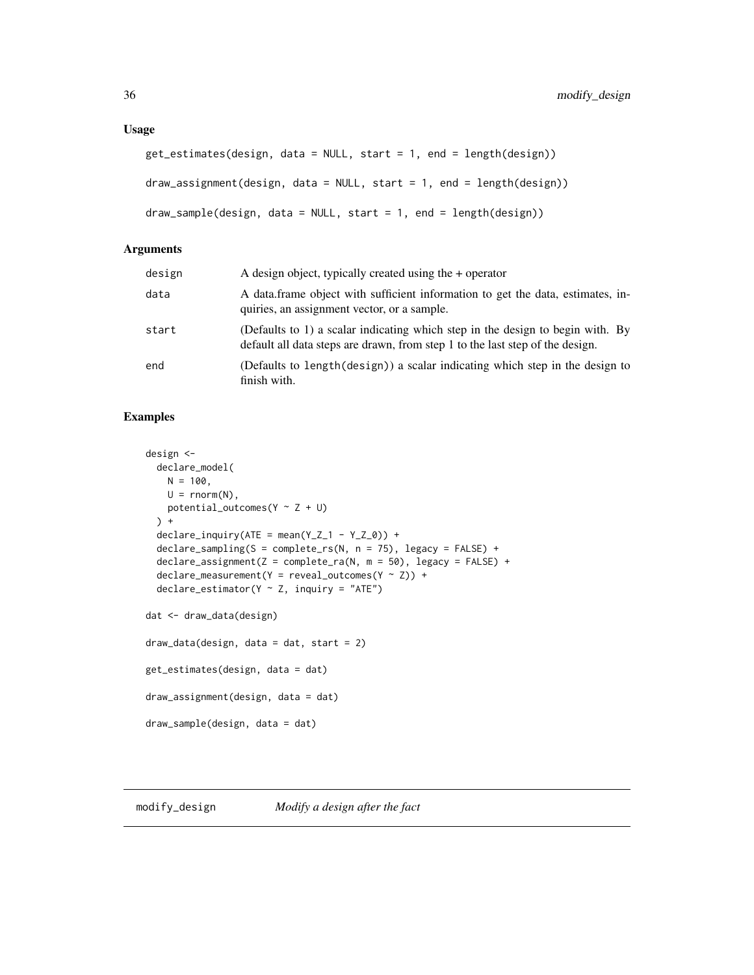#### <span id="page-35-0"></span>Usage

```
get_estimates(design, data = NULL, start = 1, end = length(design))
draw_assignment(design, data = NULL, start = 1, end = length(design))
draw\_sample(design, data = NULL, start = 1, end = length(design))
```
#### Arguments

| design | A design object, typically created using the $+$ operator                                                                                                       |
|--------|-----------------------------------------------------------------------------------------------------------------------------------------------------------------|
| data   | A data frame object with sufficient information to get the data, estimates, in-<br>quiries, an assignment vector, or a sample.                                  |
| start  | (Defaults to 1) a scalar indicating which step in the design to begin with. By<br>default all data steps are drawn, from step 1 to the last step of the design. |
| end    | (Defaults to length(design)) a scalar indicating which step in the design to<br>finish with.                                                                    |

#### Examples

```
design <-
 declare_model(
   N = 100,
   U = rnorm(N),
   potential_outcomes(Y ~ Z + U)
 ) +
 declarge\_inquiry(ATE = mean(Y_Z_1 - Y_Z_0)) +declare_sampling(S = complete_rs(N, n = 75), legacy = FALSE) +
 \text{dec}lare_assignment(Z = complete_ra(N, m = 50), legacy = FALSE) +
 \text{dec}lare_measurement(Y = reveal_outcomes(Y ~ Z)) +
 declace\_estimator(Y \sim Z, inquiring = "ATE")dat <- draw_data(design)
draw_data(design, data = dat, start = 2)
get_estimates(design, data = dat)
draw_assignment(design, data = dat)
draw_sample(design, data = dat)
```
#### <span id="page-35-1"></span>modify\_design *Modify a design after the fact*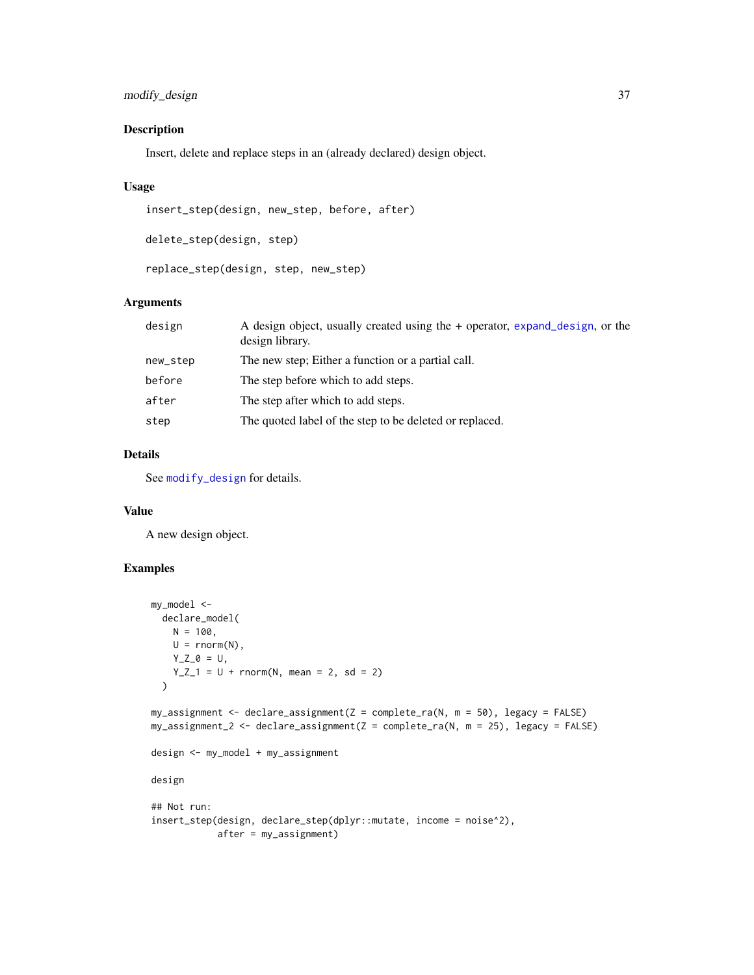# <span id="page-36-0"></span>Description

Insert, delete and replace steps in an (already declared) design object.

# Usage

```
insert_step(design, new_step, before, after)
```
delete\_step(design, step)

replace\_step(design, step, new\_step)

#### Arguments

| design   | A design object, usually created using the + operator, expand_design, or the<br>design library. |
|----------|-------------------------------------------------------------------------------------------------|
| new_step | The new step; Either a function or a partial call.                                              |
| before   | The step before which to add steps.                                                             |
| after    | The step after which to add steps.                                                              |
| step     | The quoted label of the step to be deleted or replaced.                                         |

# Details

See [modify\\_design](#page-35-1) for details.

# Value

A new design object.

```
my_model <-
  declare_model(
    N = 100,U = \text{rnorm}(N),
    Y_Z_0 = U,
     Y_{Z_1} = U + rnorm(N, mean = 2, sd = 2)\mathcal{L}my_assignment <- declare_assignment(Z = complete_ra(N, m = 50), legacy = FALSE)
my_ensure = 25, leq \leq \leq \leq \leq \leq \leq \leq \leq \leq \leq \leq \leq \leq \leq \leq \leq \leq \leq \leq \leq \leq \leq \leq \leq \leq \leq \leq \leq \leq \leq \leq \leq \leq \leq design <- my_model + my_assignment
design
## Not run:
insert_step(design, declare_step(dplyr::mutate, income = noise^2),
               after = my_assignment)
```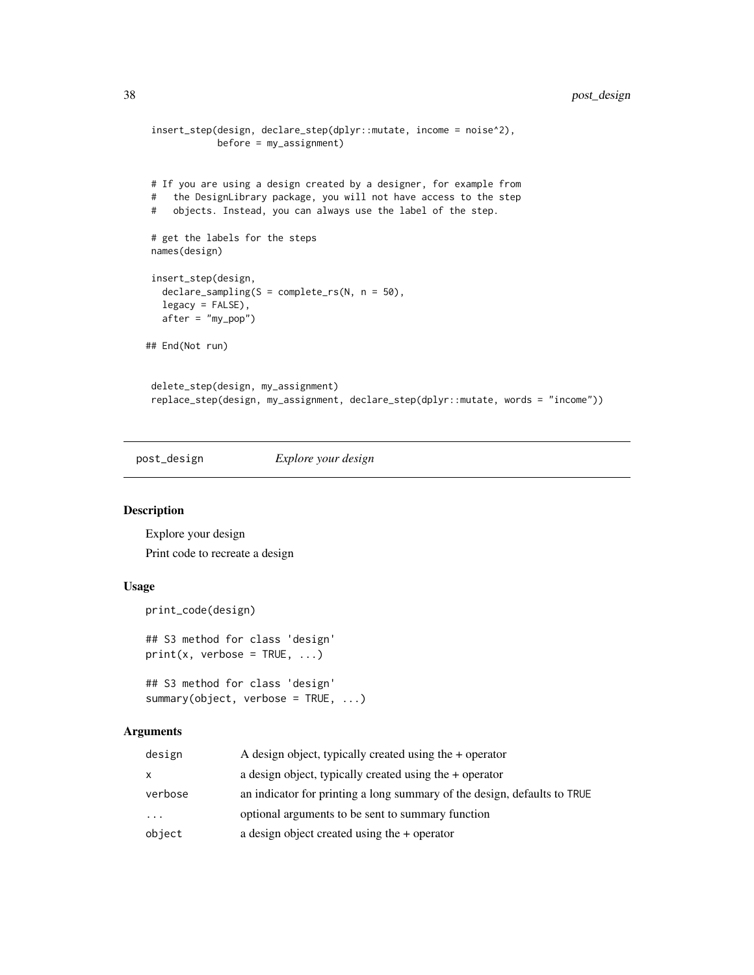```
insert_step(design, declare_step(dplyr::mutate, income = noise^2),
            before = my_assignment)
# If you are using a design created by a designer, for example from
# the DesignLibrary package, you will not have access to the step
# objects. Instead, you can always use the label of the step.
# get the labels for the steps
names(design)
insert_step(design,
  declare_sampling(S = complete_rs(N, n = 50),
  legacy = FALSE),
  after = "my_pop")
## End(Not run)
delete_step(design, my_assignment)
replace_step(design, my_assignment, declare_step(dplyr::mutate, words = "income"))
```
post\_design *Explore your design*

#### Description

Explore your design Print code to recreate a design

#### Usage

```
print_code(design)
## S3 method for class 'design'
print(x, verbose = TRUE, \dots)
```

```
## S3 method for class 'design'
summary(object, verbose = TRUE, ...)
```
# Arguments

| design  | A design object, typically created using the $+$ operator                |
|---------|--------------------------------------------------------------------------|
| x       | a design object, typically created using the $+$ operator                |
| verbose | an indicator for printing a long summary of the design, defaults to TRUE |
| .       | optional arguments to be sent to summary function                        |
| object  | a design object created using the $+$ operator                           |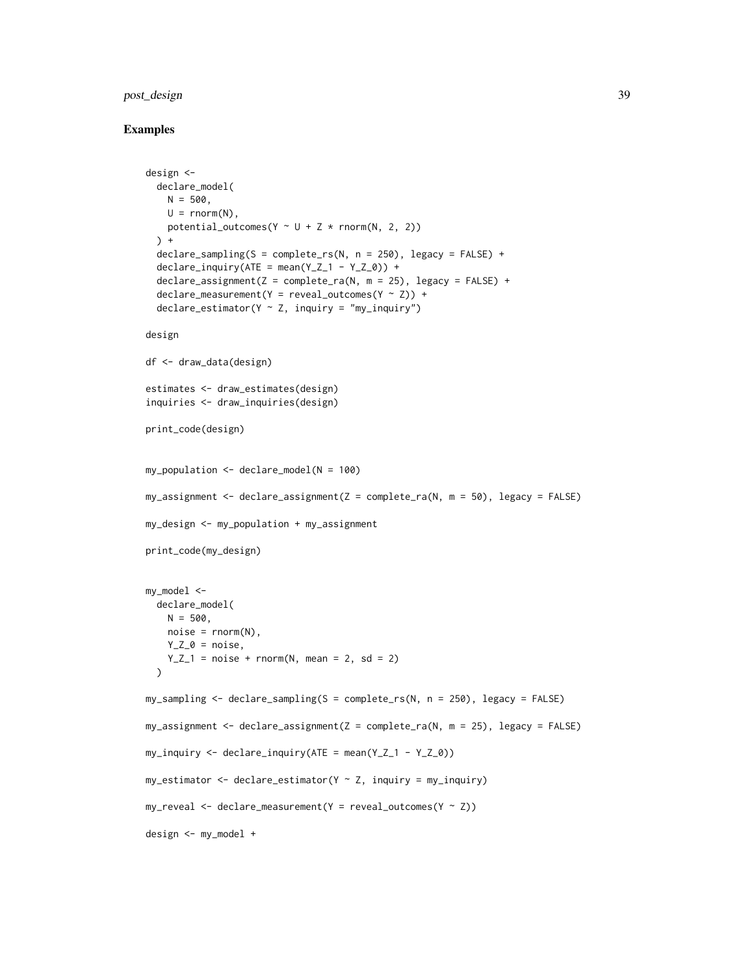# post\_design 39

```
design <-
  declare_model(
   N = 500,U = rnorm(N),
   potential_outcomes(Y \sim U + Z \times \text{rnorm}(N, 2, 2))
  ) +\text{dec}lare_sampling(S = complete_rs(N, n = 250), legacy = FALSE) +
  declare_inquiry(ATE = mean(Y_Z_1 - Y_Z_0)) +\text{dec}lare_assignment(Z = complete_ra(N, m = 25), legacy = FALSE) +
  declarge_measurement(Y = reveal_outcomes(Y ~ Z)) +
  \text{dec}lare_estimator(Y ~ Z, inquiry = "my_inquiry")
design
df <- draw_data(design)
estimates <- draw_estimates(design)
inquiries <- draw_inquiries(design)
print_code(design)
my\_population \leq declarge\_model(N = 100)my_ensure = 50, legacy = FALSE)
my_design <- my_population + my_assignment
print_code(my_design)
my_model <-
  declare_model(
   N = 500.
   noise = rnorm(N),
   Y_Z_0 = \text{noise},
   Y_Z_1 = noise + rnorm(N, mean = 2, sd = 2)
  )
my_sampling <- declare_sampling(S = complete_rs(N, n = 250), legacy = FALSE)
my_ensure = 1 \rightarrow m_y_ensure = 25, legacy = FALSEmy\_inquiry \leftarrow declare\_inquiry(ATE = mean(Y_Z_1 - Y_Z_0))my_estimator <- declare_estimator(Y ~ Z, inquiry = my_inquiry)
my\_reveal \leftarrow declare\_measurement(Y = reveal\_outcomes(Y \sim Z))design <- my_model +
```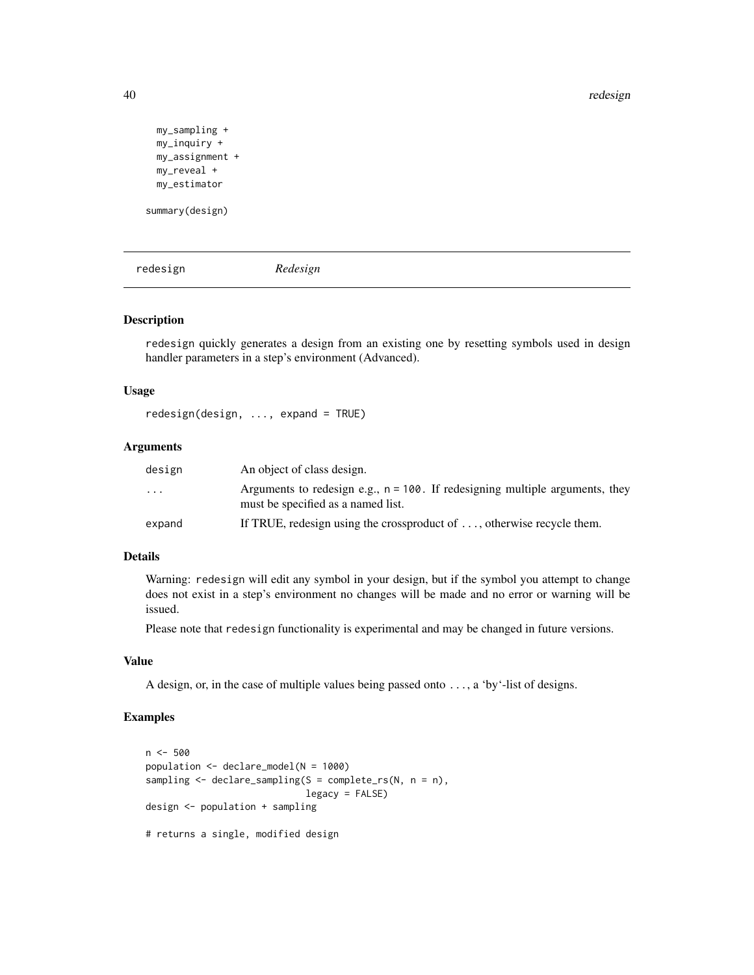40 redesign

```
my_sampling +
 my_inquiry +
 my_assignment +
 my_reveal +
 my_estimator
summary(design)
```
<span id="page-39-1"></span>redesign *Redesign*

# Description

redesign quickly generates a design from an existing one by resetting symbols used in design handler parameters in a step's environment (Advanced).

#### Usage

```
redesign(design, ..., expand = TRUE)
```
# Arguments

| design                  | An object of class design.                                                                                            |
|-------------------------|-----------------------------------------------------------------------------------------------------------------------|
| $\cdot$ $\cdot$ $\cdot$ | Arguments to redesign e.g., $n = 100$ . If redesigning multiple arguments, they<br>must be specified as a named list. |
| expand                  | If TRUE, redesign using the crossproduct of $\dots$ , otherwise recycle them.                                         |

# Details

Warning: redesign will edit any symbol in your design, but if the symbol you attempt to change does not exist in a step's environment no changes will be made and no error or warning will be issued.

Please note that redesign functionality is experimental and may be changed in future versions.

# Value

A design, or, in the case of multiple values being passed onto ..., a 'by'-list of designs.

```
n < -500population <- declare_model(N = 1000)
sampling <- declare_sampling(S = complete_rs(N, n = n),
                            legacy = FALSE)
design <- population + sampling
# returns a single, modified design
```
<span id="page-39-0"></span>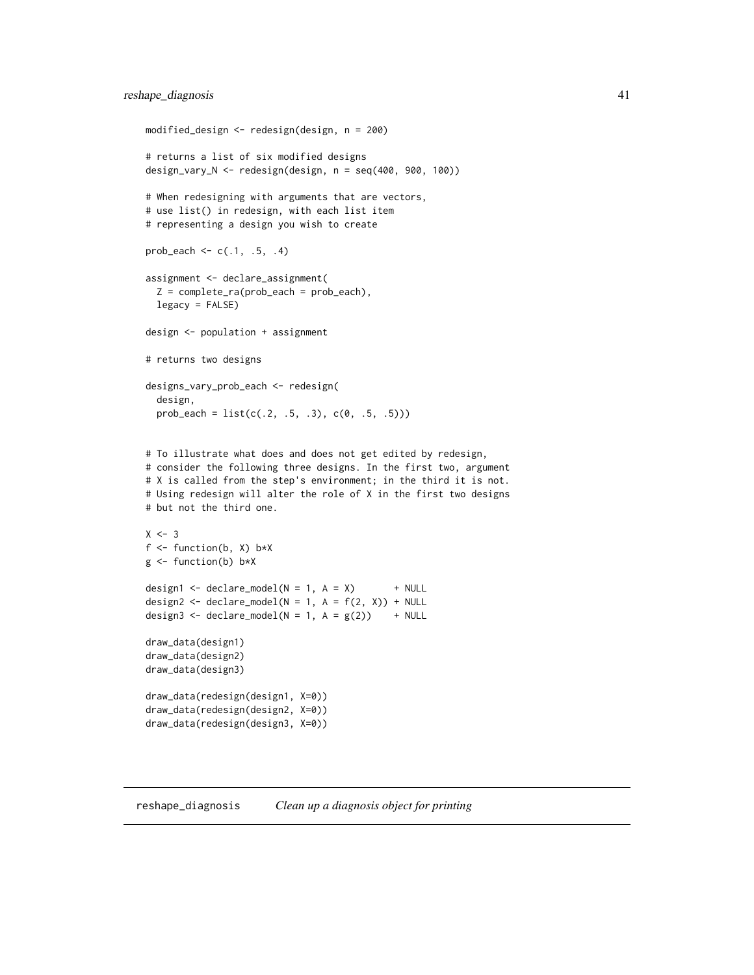```
modified_design <- redesign(design, n = 200)
# returns a list of six modified designs
design_vary_N <- redesign(design, n = seq(400, 900, 100))
# When redesigning with arguments that are vectors,
# use list() in redesign, with each list item
# representing a design you wish to create
prob_each <- c(.1, .5, .4)assignment <- declare_assignment(
  Z = complete-ra(prob\_each = prob\_each),
  legacy = FALSE)
design <- population + assignment
# returns two designs
designs_vary_prob_each <- redesign(
  design,
  prob_each = list(c(.2, .5, .3), c(0, .5, .5)))# To illustrate what does and does not get edited by redesign,
# consider the following three designs. In the first two, argument
# X is called from the step's environment; in the third it is not.
# Using redesign will alter the role of X in the first two designs
# but not the third one.
X < -3f \leftarrow function(b, X) b \star Xg \leftarrow function(b) b \star Xdesign1 <- declare_model(N = 1, A = X) + NULL
design2 <- declare_model(N = 1, A = f(2, X)) + NULL
design3 <- declare_model(N = 1, A = g(2)) + NULL
draw_data(design1)
draw_data(design2)
draw_data(design3)
draw_data(redesign(design1, X=0))
draw_data(redesign(design2, X=0))
draw_data(redesign(design3, X=0))
```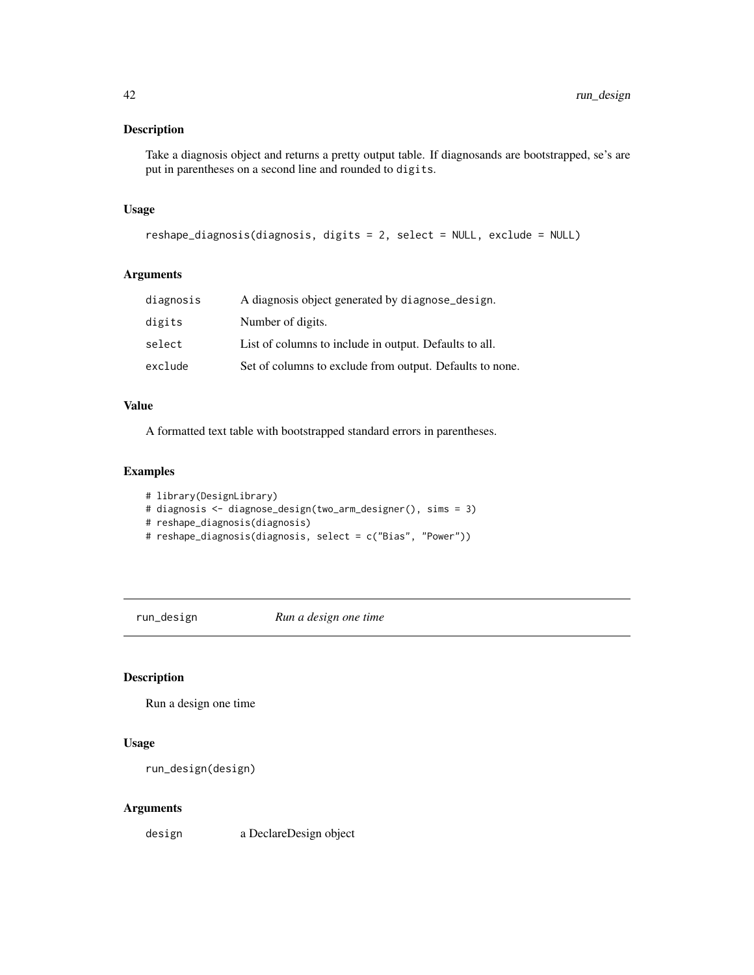# <span id="page-41-0"></span>Description

Take a diagnosis object and returns a pretty output table. If diagnosands are bootstrapped, se's are put in parentheses on a second line and rounded to digits.

# Usage

```
reshape_diagnosis(diagnosis, digits = 2, select = NULL, exclude = NULL)
```
# Arguments

| diagnosis | A diagnosis object generated by diagnose_design.         |
|-----------|----------------------------------------------------------|
| digits    | Number of digits.                                        |
| select    | List of columns to include in output. Defaults to all.   |
| exclude   | Set of columns to exclude from output. Defaults to none. |

# Value

A formatted text table with bootstrapped standard errors in parentheses.

#### Examples

```
# library(DesignLibrary)
# diagnosis <- diagnose_design(two_arm_designer(), sims = 3)
# reshape_diagnosis(diagnosis)
# reshape_diagnosis(diagnosis, select = c("Bias", "Power"))
```
<span id="page-41-1"></span>run\_design *Run a design one time*

# Description

Run a design one time

#### Usage

run\_design(design)

#### Arguments

design a DeclareDesign object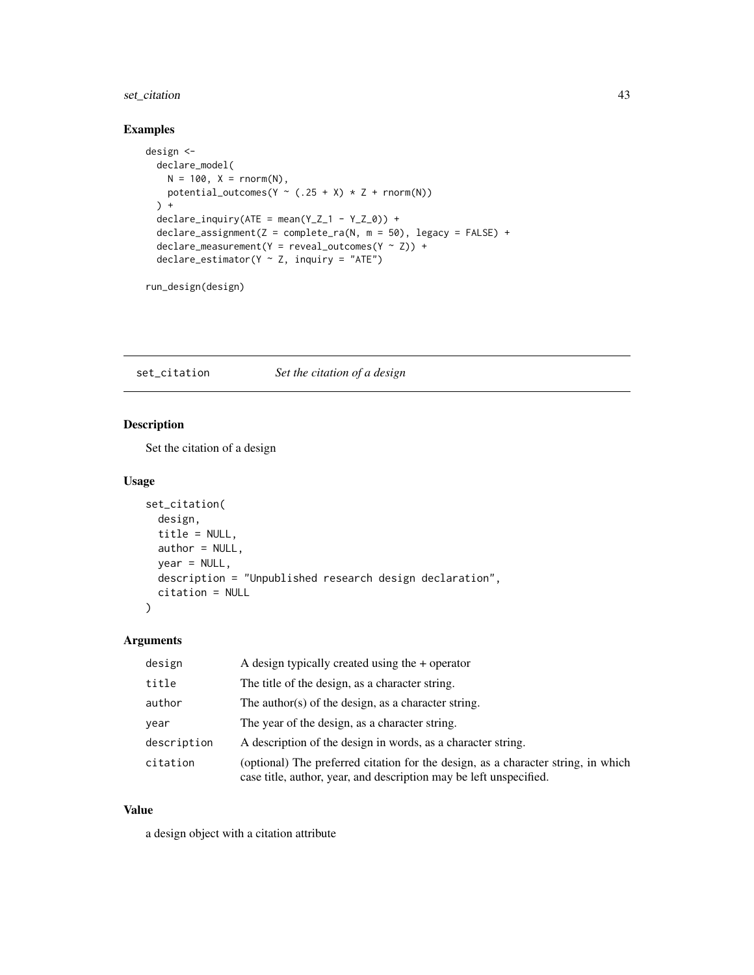# <span id="page-42-0"></span>set\_citation 43

# Examples

```
design <-
  declare_model(
    N = 100, X = rnorm(N),
    potential_outcomes(Y \sim (.25 + X) * Z + \text{rnorm}(N))
  ) +declarge\_inquiry(ATE = mean(Y_Z_1 - Y_Z_0)) +\text{dec}lare_assignment(Z = complete_ra(N, m = 50), legacy = FALSE) +
  \text{declarge\_measurement}(Y = \text{reveal\_outcomes}(Y \sim Z)) +
  declare_estimator(Y ~ Z, inquiry = "ATE")
```
run\_design(design)

set\_citation *Set the citation of a design*

# Description

Set the citation of a design

# Usage

```
set_citation(
  design,
  title = NULL,
 author = NULL,
 year = NULL,
 description = "Unpublished research design declaration",
  citation = NULL
)
```
#### Arguments

| design      | A design typically created using the $+$ operator                                                                                                       |
|-------------|---------------------------------------------------------------------------------------------------------------------------------------------------------|
| title       | The title of the design, as a character string.                                                                                                         |
| author      | The author(s) of the design, as a character string.                                                                                                     |
| year        | The year of the design, as a character string.                                                                                                          |
| description | A description of the design in words, as a character string.                                                                                            |
| citation    | (optional) The preferred citation for the design, as a character string, in which<br>case title, author, year, and description may be left unspecified. |

#### Value

a design object with a citation attribute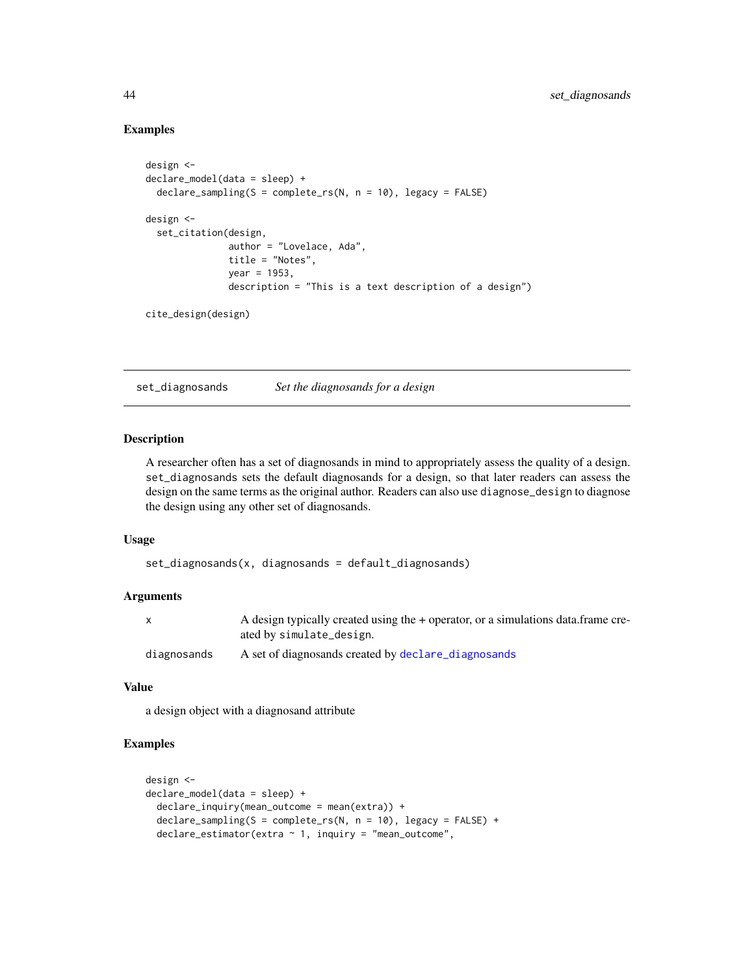#### Examples

```
design <-
declare_model(data = sleep) +
 declare_sampling(S = complete_rs(N, n = 10), legacy = FALSE)
design <-
 set_citation(design,
               author = "Lovelace, Ada",
               title = "Notes",
              year = 1953.description = "This is a text description of a design")
```

```
cite_design(design)
```
set\_diagnosands *Set the diagnosands for a design*

# Description

A researcher often has a set of diagnosands in mind to appropriately assess the quality of a design. set\_diagnosands sets the default diagnosands for a design, so that later readers can assess the design on the same terms as the original author. Readers can also use diagnose\_design to diagnose the design using any other set of diagnosands.

#### Usage

set\_diagnosands(x, diagnosands = default\_diagnosands)

# Arguments

|             | A design typically created using the $+$ operator, or a simulations data. frame cre-<br>ated by simulate_design. |
|-------------|------------------------------------------------------------------------------------------------------------------|
| diagnosands | A set of diagnosands created by declare_diagnosands                                                              |

# Value

a design object with a diagnosand attribute

```
design <-
declare_model(data = sleep) +
  declare_inquiry(mean_outcome = mean(extra)) +
  \text{dec}lare_sampling(S = complete_rs(N, n = 10), legacy = FALSE) +
  \text{declace}\_\text{estimator}(\text{extra} \sim 1, \text{ inquiry} = \text{"mean}\_\text{outcome",
```
<span id="page-43-0"></span>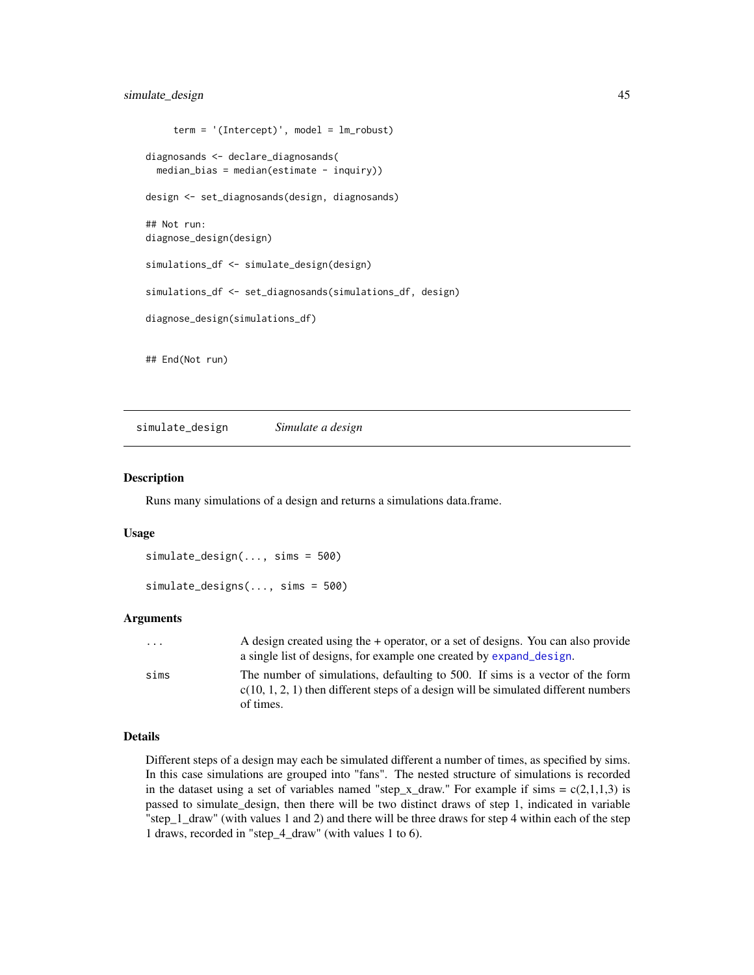# <span id="page-44-0"></span>simulate\_design 45

```
term = '(Intercept)', model = lm\_robust)diagnosands <- declare_diagnosands(
 median\_bias = median(estimate - inquiry))design <- set_diagnosands(design, diagnosands)
## Not run:
diagnose_design(design)
simulations_df <- simulate_design(design)
simulations_df <- set_diagnosands(simulations_df, design)
diagnose_design(simulations_df)
## End(Not run)
```
<span id="page-44-1"></span>simulate\_design *Simulate a design*

#### Description

Runs many simulations of a design and returns a simulations data.frame.

#### Usage

```
simulate_design(..., sims = 500)
```

```
simulate_designs(..., sims = 500)
```
#### Arguments

| $\cdots$ | A design created using the + operator, or a set of designs. You can also provide<br>a single list of designs, for example one created by expand_design.                             |
|----------|-------------------------------------------------------------------------------------------------------------------------------------------------------------------------------------|
| sims     | The number of simulations, defaulting to 500. If sims is a vector of the form<br>$c(10, 1, 2, 1)$ then different steps of a design will be simulated different numbers<br>of times. |

#### Details

Different steps of a design may each be simulated different a number of times, as specified by sims. In this case simulations are grouped into "fans". The nested structure of simulations is recorded in the dataset using a set of variables named "step\_x\_draw." For example if sims =  $c(2,1,1,3)$  is passed to simulate\_design, then there will be two distinct draws of step 1, indicated in variable "step\_1\_draw" (with values 1 and 2) and there will be three draws for step 4 within each of the step 1 draws, recorded in "step\_4\_draw" (with values 1 to 6).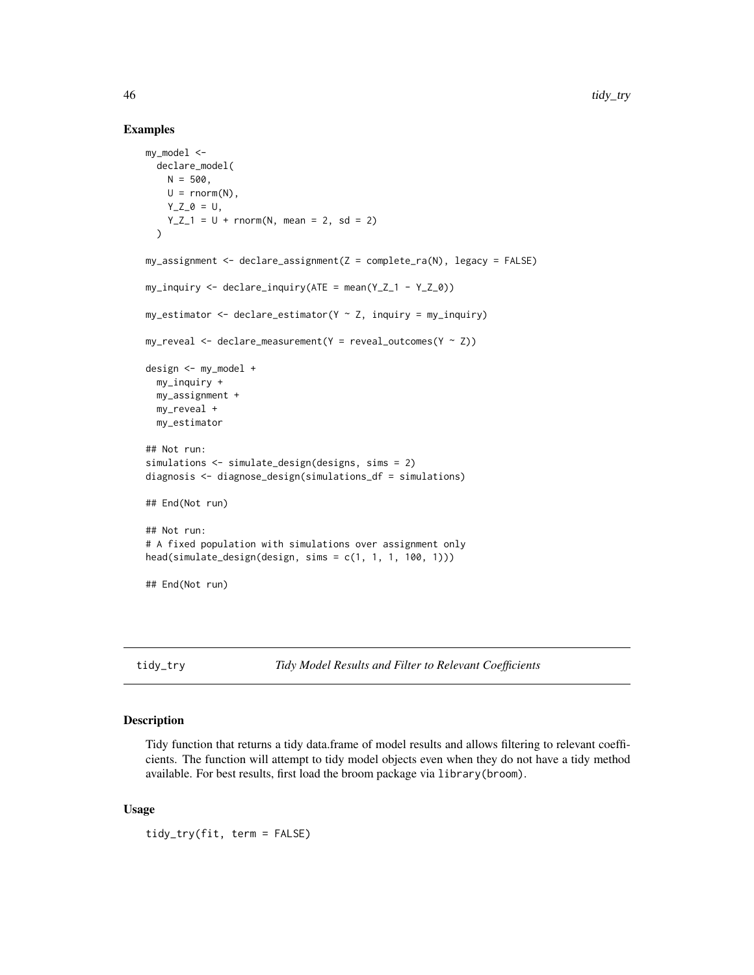#### Examples

```
my_model <-
  declare_model(
    N = 500.
    U = \text{rnorm}(N),Y_Z_0 = U,
    Y_Z_1 = U + \text{norm}(N, \text{ mean } = 2, \text{ sd } = 2))
my_ensure = my_assignment <- declare_assignment(Z = complete_ra(N), legacy = FALSE)
my_inquiry <- declare_inquiry(ATE = mean(Y_Z_1 - Y_Z_0))
my\_estimator \leq declace\_estimator(Y \sim Z, inquiring = my\_inquiring)my\_reveal \leftarrow \text{ declare\_measurement}(Y = reveal\_outcomes(Y \sim Z))design <- my_model +
  my_inquiry +
  my_assignment +
  my_reveal +
  my_estimator
## Not run:
simulations <- simulate_design(designs, sims = 2)
diagnosis <- diagnose_design(simulations_df = simulations)
## End(Not run)
## Not run:
# A fixed population with simulations over assignment only
head(simulate_design(design, sims = c(1, 1, 1, 100, 1)))
## End(Not run)
```
<span id="page-45-1"></span>tidy\_try *Tidy Model Results and Filter to Relevant Coefficients*

#### Description

Tidy function that returns a tidy data.frame of model results and allows filtering to relevant coefficients. The function will attempt to tidy model objects even when they do not have a tidy method available. For best results, first load the broom package via library(broom).

#### Usage

tidy\_try(fit, term = FALSE)

<span id="page-45-0"></span>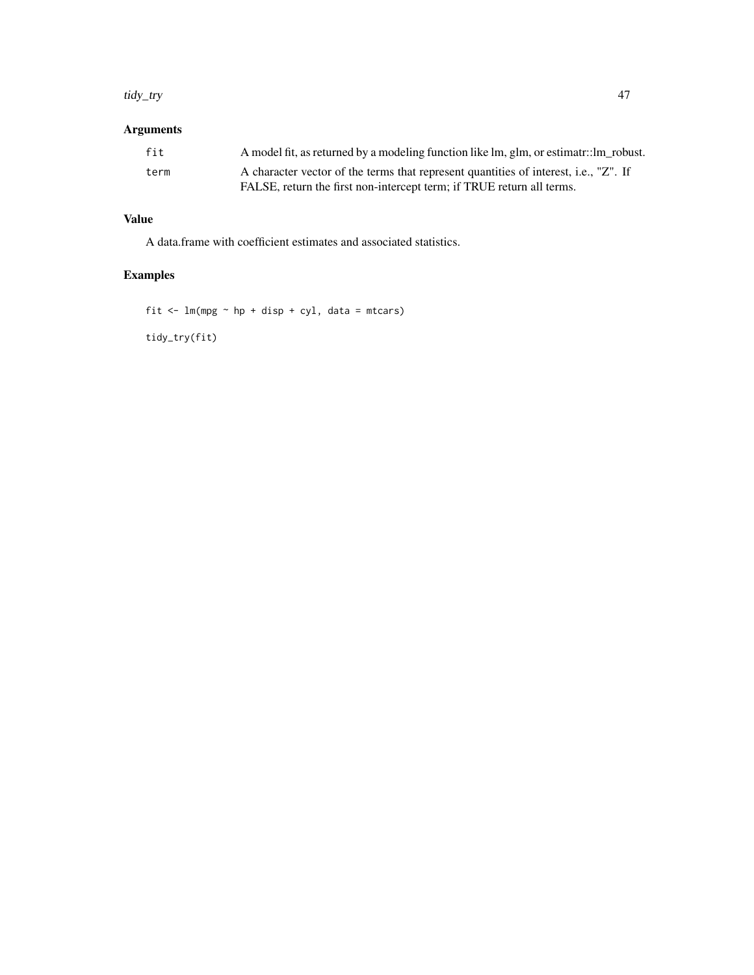#### tidy\_try 47

# Arguments

| fit  | A model fit, as returned by a modeling function like lm, glm, or estimatr::lm_robust. |
|------|---------------------------------------------------------------------------------------|
| term | A character vector of the terms that represent quantities of interest, i.e., "Z". If  |
|      | FALSE, return the first non-intercept term; if TRUE return all terms.                 |

# Value

A data.frame with coefficient estimates and associated statistics.

# Examples

fit  $\leftarrow$  lm(mpg  $\sim$  hp + disp + cyl, data = mtcars) tidy\_try(fit)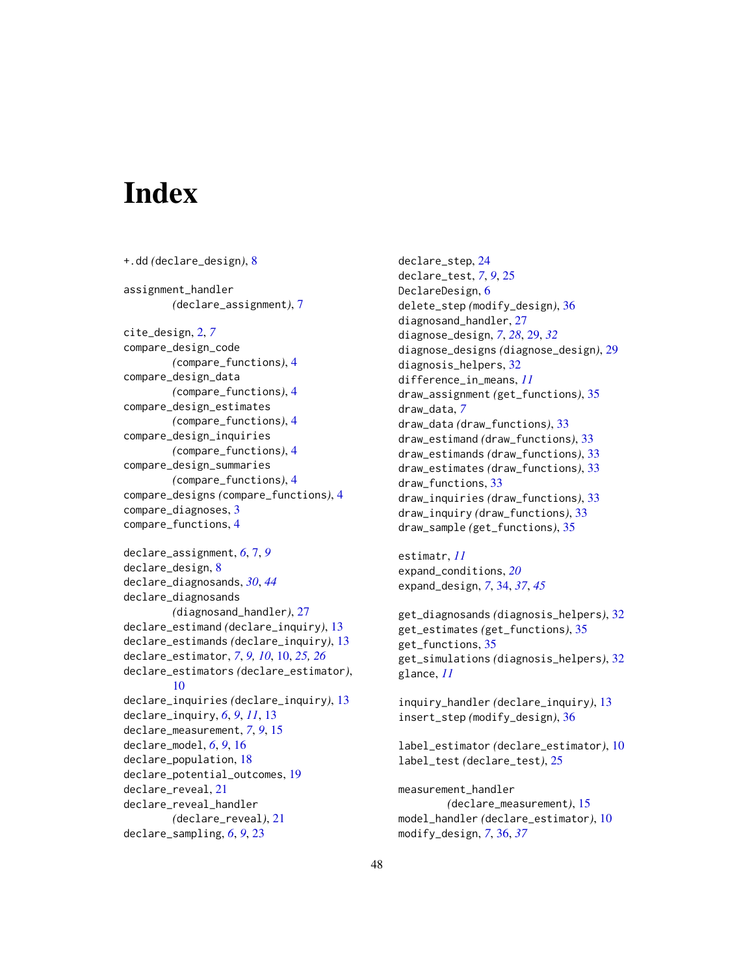# <span id="page-47-0"></span>**Index**

```
+.dd (declare_design), 8
assignment_handler
        (declare_assignment), 7
cite_design, 2, 7
compare_design_code
        (compare_functions), 4
compare_design_data
        (compare_functions), 4
compare_design_estimates
        (compare_functions), 4
compare_design_inquiries
        (compare_functions), 4
compare_design_summaries
        (compare_functions), 4
compare_designs (compare_functions), 4
compare_diagnoses, 3
compare_functions, 4
declare_assignment, 6, 7, 9
declare_design, 8
declare_diagnosands, 30, 44
declare_diagnosands
        (diagnosand_handler), 27
declare_estimand (declare_inquiry), 13
declare_estimands (declare_inquiry), 13
declare_estimator, 7, 9, 10, 10, 25, 26
declare_estimators (declare_estimator),
        10
declare_inquiries (declare_inquiry), 13
declare_inquiry, 6, 9, 11, 13
declare_measurement, 7, 9, 15
declare_model, 6, 9, 16
declare_population, 18
declare_potential_outcomes, 19
declare_reveal, 21
declare_reveal_handler
        (declare_reveal), 21
declare_sampling, 6, 9, 23
```
declare\_step, [24](#page-23-0) declare\_test, *[7](#page-6-0)*, *[9](#page-8-0)*, [25](#page-24-0) DeclareDesign, [6](#page-5-0) delete\_step *(*modify\_design*)*, [36](#page-35-0) diagnosand\_handler, [27](#page-26-0) diagnose\_design, *[7](#page-6-0)*, *[28](#page-27-0)*, [29,](#page-28-0) *[32](#page-31-0)* diagnose\_designs *(*diagnose\_design*)*, [29](#page-28-0) diagnosis\_helpers, [32](#page-31-0) difference\_in\_means, *[11](#page-10-0)* draw\_assignment *(*get\_functions*)*, [35](#page-34-0) draw\_data, *[7](#page-6-0)* draw\_data *(*draw\_functions*)*, [33](#page-32-0) draw\_estimand *(*draw\_functions*)*, [33](#page-32-0) draw\_estimands *(*draw\_functions*)*, [33](#page-32-0) draw\_estimates *(*draw\_functions*)*, [33](#page-32-0) draw\_functions, [33](#page-32-0) draw\_inquiries *(*draw\_functions*)*, [33](#page-32-0) draw\_inquiry *(*draw\_functions*)*, [33](#page-32-0) draw\_sample *(*get\_functions*)*, [35](#page-34-0)

estimatr, *[11](#page-10-0)* expand\_conditions, *[20](#page-19-0)* expand\_design, *[7](#page-6-0)*, [34,](#page-33-0) *[37](#page-36-0)*, *[45](#page-44-0)*

get\_diagnosands *(*diagnosis\_helpers*)*, [32](#page-31-0) get\_estimates *(*get\_functions*)*, [35](#page-34-0) get\_functions, [35](#page-34-0) get\_simulations *(*diagnosis\_helpers*)*, [32](#page-31-0) glance, *[11](#page-10-0)*

inquiry\_handler *(*declare\_inquiry*)*, [13](#page-12-0) insert\_step *(*modify\_design*)*, [36](#page-35-0)

label\_estimator *(*declare\_estimator*)*, [10](#page-9-0) label\_test *(*declare\_test*)*, [25](#page-24-0)

measurement\_handler *(*declare\_measurement*)*, [15](#page-14-0) model\_handler *(*declare\_estimator*)*, [10](#page-9-0) modify\_design, *[7](#page-6-0)*, [36,](#page-35-0) *[37](#page-36-0)*